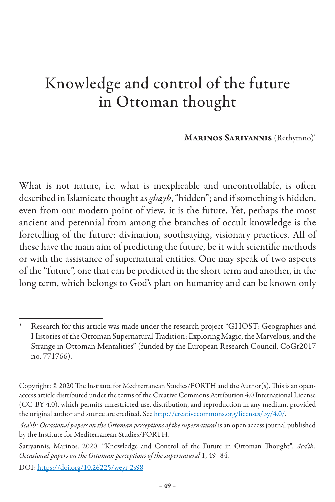## Knowledge and control of the future in Ottoman thought

Marinos Sariyannis (Rethymno)\* <sup>94</sup>

What is not nature, i.e. what is inexplicable and uncontrollable, is often described in Islamicate thought as *ghayb*, "hidden"; and if something is hidden, even from our modern point of view, it is the future. Yet, perhaps the most ancient and perennial from among the branches of occult knowledge is the foretelling of the future: divination, soothsaying, visionary practices. All of these have the main aim of predicting the future, be it with scientific methods or with the assistance of supernatural entities. One may speak of two aspects of the "future", one that can be predicted in the short term and another, in the long term, which belongs to God's plan on humanity and can be known only

Research for this article was made under the research project "GHOST: Geographies and Histories of the Ottoman Supernatural Tradition: Exploring Magic, the Marvelous, and the Strange in Ottoman Mentalities" (funded by the European Research Council, CoGr2017 no. 771766).

Copyright: © 2020 The Institute for Mediterranean Studies/FORTH and the Author(s). This is an openaccess article distributed under the terms of the Creative Commons Attribution 4.0 International License (CC-BY 4.0), which permits unrestricted use, distribution, and reproduction in any medium, provided the original author and source are credited. See http://creativecommons.org/licenses/by/4.0/.

*Aca'ib: Occasional papers on the Ottoman perceptions of the supernatural* is an open access journal published by the Institute for Mediterranean Studies/FORTH.

Sariyannis, Marinos. 2020. "Knowledge and Control of the Future in Ottoman Thought". *Aca'ib: Occasional papers on the Ottoman perceptions of the supernatural* 1, 49–84.

DOI: https://doi.org/10.26225/weyr-2s98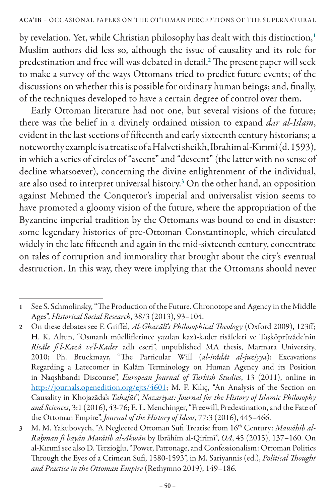by revelation. Yet, while Christian philosophy has dealt with this distinction,<sup>1</sup> Muslim authors did less so, although the issue of causality and its role for predestination and free will was debated in detail. $^{\rm 2}$  The present paper will seek to make a survey of the ways Ottomans tried to predict future events; of the discussions on whether this is possible for ordinary human beings; and, finally, of the techniques developed to have a certain degree of control over them.

Early Ottoman literature had not one, but several visions of the future; there was the belief in a divinely ordained mission to expand *dar al-Islam*, evident in the last sections of fifteenth and early sixteenth century historians; a noteworthy example is a treatise of a Halveti sheikh, Ibrahim al-Kırımî (d. 1593), in which a series of circles of "ascent" and "descent" (the latter with no sense of decline whatsoever), concerning the divine enlightenment of the individual, are also used to interpret universal history.<sup>3</sup> On the other hand, an opposition against Mehmed the Conqueror's imperial and universalist vision seems to have promoted a gloomy vision of the future, where the appropriation of the Byzantine imperial tradition by the Ottomans was bound to end in disaster: some legendary histories of pre-Ottoman Constantinople, which circulated widely in the late fifteenth and again in the mid-sixteenth century, concentrate on tales of corruption and immorality that brought about the city's eventual destruction. In this way, they were implying that the Ottomans should never

<sup>1</sup> See S. Schmolinsky, "The Production of the Future. Chronotope and Agency in the Middle Ages", *Historical Social Research*, 38/3 (2013), 93–104.

<sup>2</sup> On these debates see F. Griffel, *Al-Ghazālī's Philosophical Theology* (Oxford 2009), 123ff; H. K. Altun, "Osmanlı müelliflerince yazılan kazâ-kader risâleleri ve Taşköprüzâde'nin *Risâle fi'l-Kazâ ve'l-Kader* adlı eseri", unpublished MA thesis, Marmara University, 2010; Ph. Bruckmayr, "The Particular Will (*al-irâdât al-juziyya*): Excavations Regarding a Latecomer in Kalâm Terminology on Human Agency and its Position in Naqshbandi Discourse", *European Journal of Turkish Studies*, 13 (2011), online in http://journals.openedition.org/ejts/4601; M. F. Kılıç, "An Analysis of the Section on Causality in Khojazāda's *Tahafūt*", *Nazariyat: Journal for the History of Islamic Philosophy and Sciences*, 3:1 (2016), 43-76; E. L. Menchinger, "Freewill, Predestination, and the Fate of the Ottoman Empire", *Journal of the History of Ideas*, 77:3 (2016), 445–466.

<sup>3</sup> M. M. Yakubovych, "A Neglected Ottoman Sufi Treatise from 16th Century: *Mawāhib al-Raḥman fī bayān Marātib al-Akwān* by Ibrāhīm al-Qirīmī", *OA*, 45 (2015), 137–160. On al-Kırımî see also D. Terzioğlu, "Power, Patronage, and Confessionalism: Ottoman Politics Through the Eyes of a Crimean Sufi, 1580-1593", in M. Sariyannis (ed.), *Political Thought and Practice in the Ottoman Empire* (Rethymno 2019), 149–186.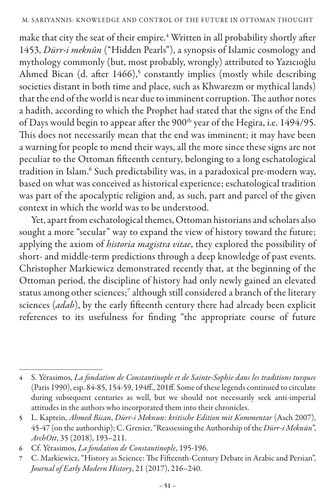make that city the seat of their empire.<sup>4</sup> Written in all probability shortly after 1453, *Dürr-i meknûn* ("Hidden Pearls"), a synopsis of Islamic cosmology and mythology commonly (but, most probably, wrongly) attributed to Yazıcıoğlu Ahmed Bican (d. after 1466),<sup>5</sup> constantly implies (mostly while describing societies distant in both time and place, such as Khwarezm or mythical lands) that the end of the world is near due to imminent corruption. The author notes a hadith, according to which the Prophet had stated that the signs of the End of Days would begin to appear after the 900<sup>th</sup> year of the Hegira, i.e. 1494/95. This does not necessarily mean that the end was imminent; it may have been a warning for people to mend their ways, all the more since these signs are not peculiar to the Ottoman fifteenth century, belonging to a long eschatological tradition in Islam.<sup>6</sup> Such predictability was, in a paradoxical pre-modern way, based on what was conceived as historical experience; eschatological tradition was part of the apocalyptic religion and, as such, part and parcel of the given context in which the world was to be understood.

Yet, apart from eschatological themes, Ottoman historians and scholars also sought a more "secular" way to expand the view of history toward the future; applying the axiom of *historia magistra vitae*, they explored the possibility of short- and middle-term predictions through a deep knowledge of past events. Christopher Markiewicz demonstrated recently that, at the beginning of the Ottoman period, the discipline of history had only newly gained an elevated status among other sciences;<sup>7</sup> although still considered a branch of the literary sciences (*adab*), by the early fifteenth century there had already been explicit references to its usefulness for finding "the appropriate course of future

<sup>4</sup> S. Yérasimos, *La fondation de Constantinople et de Sainte-Sophie dans les traditions turques* (Paris 1990), esp. 84-85, 154-59, 194ff., 201ff. Some of these legends continued to circulate during subsequent centuries as well, but we should not necessarily seek anti-imperial attitudes in the authors who incorporated them into their chronicles.

<sup>5</sup> L. Kaptein, *Ahmed Bican*, *Dürr-i Meknun: kritische Edition mit Kommentar* (Asch 2007), 45-47 (on the authorship); C. Grenier, "Reassessing the Authorship of the *Dürr-i Meknūn*", *ArchOtt*, 35 (2018), 193–211.

<sup>6</sup> Cf. Yérasimos, *La fondation de Constantinople*, 195-196.

<sup>7</sup> C. Markiewicz, "History as Science: The Fifteenth-Century Debate in Arabic and Persian", *Journal of Early Modern History*, 21 (2017), 216–240.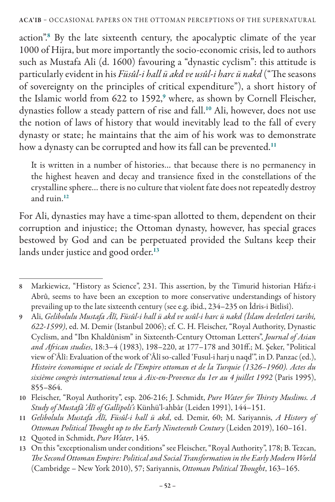action".<sup>8</sup> By the late sixteenth century, the apocalyptic climate of the year 1000 of Hijra, but more importantly the socio-economic crisis, led to authors such as Mustafa Ali (d. 1600) favouring a "dynastic cyclism": this attitude is particularly evident in his *Füsûl-i hall ü akd ve usûl-i harc ü nakd* ("The seasons of sovereignty on the principles of critical expenditure"), a short history of the Islamic world from 622 to 1592,<sup>9</sup> where, as shown by Cornell Fleischer, dynasties follow a steady pattern of rise and fall.<sup>10</sup> Ali, however, does not use the notion of laws of history that would inevitably lead to the fall of every dynasty or state; he maintains that the aim of his work was to demonstrate how a dynasty can be corrupted and how its fall can be prevented.<sup>11</sup>

It is written in a number of histories… that because there is no permanency in the highest heaven and decay and transience fixed in the constellations of the crystalline sphere… there is no culture that violent fate does not repeatedly destroy and ruin.<sup>12</sup>

For Ali, dynasties may have a time-span allotted to them, dependent on their corruption and injustice; the Ottoman dynasty, however, has special graces bestowed by God and can be perpetuated provided the Sultans keep their lands under justice and good order.<sup>13</sup>

12 Quoted in Schmidt, *Pure Water*, 145.

<sup>8</sup> Markiewicz, "History as Science", 231. This assertion, by the Timurid historian Hâfız-i Abrû, seems to have been an exception to more conservative understandings of history prevailing up to the late sixteenth century (see e.g. ibid., 234–235 on İdris-i Bitlisî).

<sup>9</sup> Ali, *Gelibolulu Mustafa Âlî, Füsûl-i hall ü akd ve usûl-i harc ü nakd (İslam devletleri tarihi, 622-1599)*, ed. M. Demir (Istanbul 2006); cf. C. H. Fleischer, "Royal Authority, Dynastic Cyclism, and "Ibn Khaldûnism" in Sixteenth-Century Ottoman Letters", *Journal of Asian and African studies*, 18:3–4 (1983), 198–220, at 177–178 and 301ff.; M. Şeker, "Political view of 'Âlî: Evaluation of the work of 'Âlî so-called 'Fusul-i harj u naqd'", in D. Panzac (ed.), *Histoire économique et sociale de l'Empire ottoman et de la Turquie (1326*–*1960). Actes du sixième congrès international tenu à Aix-en-Provence du 1er au 4 juillet 1992* (Paris 1995), 855–864.

<sup>10</sup> Fleischer, "Royal Authority", esp. 206-216; J. Schmidt, *Pure Water for Thirsty Muslims. A Study of Mustafâ 'Âlî of Gallipoli's* Künhü'l-ahbâr (Leiden 1991), 144–151.

<sup>11</sup> *Gelibolulu Mustafa Âlî, Füsûl-i hall ü akd*, ed. Demir, 60; M. Sariyannis, *A History of Ottoman Political Thought up to the Early Nineteenth Century* (Leiden 2019), 160–161.

<sup>13</sup> On this "exceptionalism under conditions" see Fleischer, "Royal Authority", 178; B. Tezcan, *The Second Ottoman Empire: Political and Social Transformation in the Early Modern World* (Cambridge – New York 2010), 57; Sariyannis, *Ottoman Political Thought*, 163–165.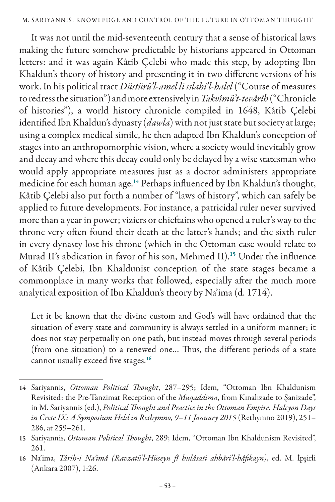It was not until the mid-seventeenth century that a sense of historical laws making the future somehow predictable by historians appeared in Ottoman letters: and it was again Kâtib Çelebi who made this step, by adopting Ibn Khaldun's theory of history and presenting it in two different versions of his work. In his political tract *Düstürü'l-amel li ıslahi'l-halel* ("Course of measures to redress the situation") and more extensively in *Takvîmü't-tevârîh* ("Chronicle of histories"), a world history chronicle compiled in 1648, Kâtib Çelebi identified Ibn Khaldun's dynasty (*dawla*) with not just state but society at large; using a complex medical simile, he then adapted Ibn Khaldun's conception of stages into an anthropomorphic vision, where a society would inevitably grow and decay and where this decay could only be delayed by a wise statesman who would apply appropriate measures just as a doctor administers appropriate medicine for each human age.<sup>14</sup> Perhaps influenced by Ibn Khaldun's thought, Kâtib Çelebi also put forth a number of "laws of history", which can safely be applied to future developments. For instance, a patricidal ruler never survived more than a year in power; viziers or chieftains who opened a ruler's way to the throne very often found their death at the latter's hands; and the sixth ruler in every dynasty lost his throne (which in the Ottoman case would relate to Murad II's abdication in favor of his son, Mehmed II).<sup>15</sup> Under the influence of Kâtib Çelebi, Ibn Khaldunist conception of the state stages became a commonplace in many works that followed, especially after the much more analytical exposition of Ibn Khaldun's theory by Na'ima (d. 1714).

Let it be known that the divine custom and God's will have ordained that the situation of every state and community is always settled in a uniform manner; it does not stay perpetually on one path, but instead moves through several periods (from one situation) to a renewed one… Thus, the different periods of a state cannot usually exceed five stages.<sup>16</sup>

<sup>14</sup> Sariyannis, *Ottoman Political Thought*, 287–295; Idem, "Ottoman Ibn Khaldunism Revisited: the Pre-Tanzimat Reception of the *Muqaddima*, from Kınalızade to Şanizade", in M. Sariyannis (ed.), *Political Thought and Practice in the Ottoman Empire. Halcyon Days in Crete IX: A Symposium Held in Rethymno, 9*–*11 January 2015* (Rethymno 2019), 251– 286, at 259–261.

<sup>15</sup> Sariyannis, *Ottoman Political Thought*, 289; Idem, "Ottoman Ibn Khaldunism Revisited", 261.

<sup>16</sup> Na'ima, *Târih-i Na'imâ (Ravzatü'l-Hüseyn fî hulâsati ahbâri'l-hâfikayn)*, ed. M. İpşirli (Ankara 2007), 1:26.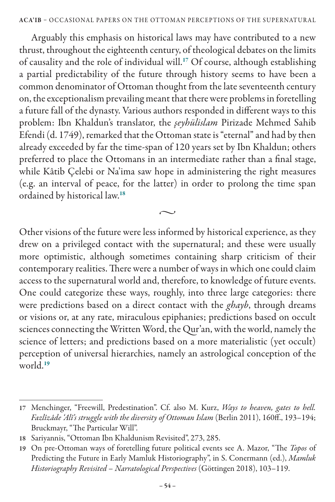Arguably this emphasis on historical laws may have contributed to a new thrust, throughout the eighteenth century, of theological debates on the limits of causality and the role of individual will.<sup>17</sup> Of course, although establishing a partial predictability of the future through history seems to have been a common denominator of Ottoman thought from the late seventeenth century on, the exceptionalism prevailing meant that there were problems in foretelling a future fall of the dynasty. Various authors responded in different ways to this problem: Ibn Khaldun's translator, the *şeyhülislam* Pirizade Mehmed Sahib Efendi (d. 1749), remarked that the Ottoman state is "eternal" and had by then already exceeded by far the time-span of 120 years set by Ibn Khaldun; others preferred to place the Ottomans in an intermediate rather than a final stage, while Kâtib Çelebi or Na'ima saw hope in administering the right measures (e.g. an interval of peace, for the latter) in order to prolong the time span ordained by historical law.<sup>18</sup>

Other visions of the future were less informed by historical experience, as they drew on a privileged contact with the supernatural; and these were usually more optimistic, although sometimes containing sharp criticism of their contemporary realities. There were a number of ways in which one could claim access to the supernatural world and, therefore, to knowledge of future events. One could categorize these ways, roughly, into three large categories: there were predictions based on a direct contact with the *ghayb*, through dreams or visions or, at any rate, miraculous epiphanies; predictions based on occult sciences connecting the Written Word, the Qur'an, with the world, namely the science of letters; and predictions based on a more materialistic (yet occult) perception of universal hierarchies, namely an astrological conception of the world.<sup>19</sup>

 $\sim$ 

<sup>17</sup> Menchinger, "Freewill, Predestination". Cf. also M. Kurz, *Ways to heaven, gates to hell. Fazlîzâde 'Alî's struggle with the diversity of Ottoman Islam* (Berlin 2011), 160ff., 193–194; Bruckmayr, "The Particular Will".

<sup>18</sup> Sariyannis, "Ottoman Ibn Khaldunism Revisited", 273, 285.

<sup>19</sup> On pre-Ottoman ways of foretelling future political events see A. Mazor, "The *Topos* of Predicting the Future in Early Mamluk Historiography", in S. Conermann (ed.), *Mamluk Historiography Revisited – Narratological Perspectives* (Göttingen 2018), 103–119.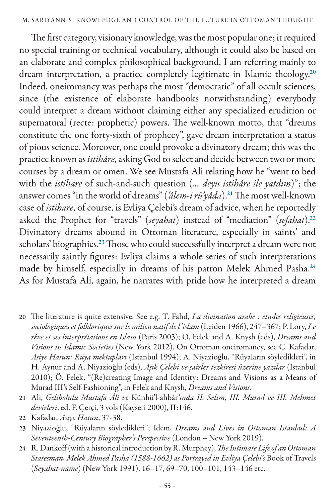The first category, visionary knowledge, was the most popular one; it required no special training or technical vocabulary, although it could also be based on an elaborate and complex philosophical background. I am referring mainly to dream interpretation, a practice completely legitimate in Islamic theology.<sup>20</sup> Indeed, oneiromancy was perhaps the most "democratic" of all occult sciences, since (the existence of elaborate handbooks notwithstanding) everybody could interpret a dream without claiming either any specialized erudition or supernatural (recte: prophetic) powers. The well-known motto, that "dreams constitute the one forty-sixth of prophecy", gave dream interpretation a status of pious science. Moreover, one could provoke a divinatory dream; this was the practice known as *istihâre*, asking God to select and decide between two or more courses by a dream or omen. We see Mustafa Ali relating how he "went to bed with the *istihare* of such-and-such question (*… deyu istihâre ile yatdım*)"; the answer comes "in the world of dreams" (*'âlem-i rü'yâda*).<sup>21</sup> The most well-known case of *istihare*, of course, is Evliya Çelebi's dream of advice, when he reportedly asked the Prophet for "travels" (*seyahat*) instead of "mediation" (*sefahat*).<sup>22</sup> Divinatory dreams abound in Ottoman literature, especially in saints' and scholars' biographies.<sup>23</sup> Those who could successfully interpret a dream were not necessarily saintly figures: Evliya claims a whole series of such interpretations made by himself, especially in dreams of his patron Melek Ahmed Pasha.<sup>24</sup> As for Mustafa Ali, again, he narrates with pride how he interpreted a dream

<sup>20</sup> The literature is quite extensive. See e.g. T. Fahd, *La divination arabe : études religieuses, sociologiques et folkloriques sur le milieu natif de l'islam* (Leiden 1966), 247–367; P. Lory, *Le rêve et ses interprétations en Islam* (Paris 2003); Ö. Felek and A. Knysh (eds), *Dreams and Visions in Islamic Societies* (New York 2012). On Ottoman oneiromancy, see C. Kafadar, *Asiye Hatun: Rüya mektupları* (Istanbul 1994); A. Niyazioğlu, "Rüyaların söyledikleri", in H. Aynur and A. Niyazioğlu (eds), *Aşık Çelebi ve şairler tezkiresi üzerine yazılar* (Istanbul 2010); Ö. Felek, "(Re)creating Image and Identity: Dreams and Visions as a Means of Murad III's Self-Fashioning", in Felek and Knysh, *Dreams and Visions*.

<sup>21</sup> Ali, *Gelibolulu Mustafa Âlî ve* Künhü'l-ahbâr*'ında II. Selim, III. Murad ve III. Mehmet devirleri*, ed. F. Çerçi, 3 vols (Kayseri 2000), II:146.

<sup>22</sup> Kafadar, *Asiye Hatun*, 37-38.

<sup>23</sup> Niyazioğlu, "Rüyaların söyledikleri"; Idem, *Dreams and Lives in Ottoman Istanbul: A Seventeenth-Century Biographer's Perspective* (London – New York 2019).

<sup>24</sup> R. Dankoff (with a historical introduction by R. Murphey), *The Intimate Life of an Ottoman Statesman, Melek Ahmed Pasha (1588-1662) as Portrayed in Evliya Çelebi's* Book of Travels (*Seyahat-name*) (New York 1991), 16–17, 69–70, 100–101, 143–146 etc.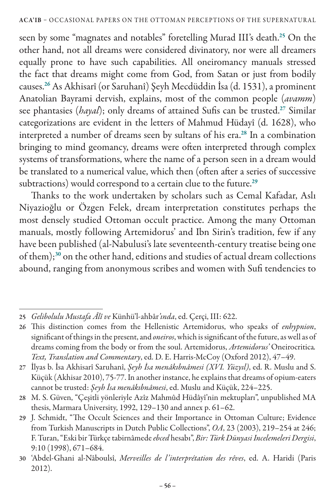seen by some "magnates and notables" foretelling Murad III's death.<sup>25</sup> On the other hand, not all dreams were considered divinatory, nor were all dreamers equally prone to have such capabilities. All oneiromancy manuals stressed the fact that dreams might come from God, from Satan or just from bodily causes.<sup>26</sup> As Akhisarî (or Saruhanî) Şeyh Mecdüddin İsa (d. 1531), a prominent Anatolian Bayrami dervish, explains, most of the common people (*avamm*) see phantasies (*hayal*); only dreams of attained Sufis can be trusted.<sup>27</sup> Similar categorizations are evident in the letters of Mahmud Hüdayî (d. 1628), who interpreted a number of dreams seen by sultans of his era.<sup>28</sup> In a combination bringing to mind geomancy, dreams were often interpreted through complex systems of transformations, where the name of a person seen in a dream would be translated to a numerical value, which then (often after a series of successive subtractions) would correspond to a certain clue to the future.<sup>29</sup>

Thanks to the work undertaken by scholars such as Cemal Kafadar, Aslı Niyazioğlu or Özgen Felek, dream interpretation constitutes perhaps the most densely studied Ottoman occult practice. Among the many Ottoman manuals, mostly following Artemidorus' and Ibn Sirin's tradition, few if any have been published (al-Nabulusi's late seventeenth-century treatise being one of them);<sup>30</sup> on the other hand, editions and studies of actual dream collections abound, ranging from anonymous scribes and women with Sufi tendencies to

<sup>25</sup> *Gelibolulu Mustafa Âlî ve* Künhü'l-ahbâr*'ında*, ed. Çerçi, III: 622.

<sup>26</sup> This distinction comes from the Hellenistic Artemidorus, who speaks of *enhypnion*, significant of things in the present, and *oneiros*, which is significant of the future, as well as of dreams coming from the body or from the soul. Artemidorus, *Artemidorus'* Oneirocritica*. Text, Translation and Commentary*, ed. D. E. Harris-McCoy (Oxford 2012), 47–49.

<sup>27</sup> İlyas b. İsa Akhisarî Saruhanî, *Şeyh İsa menâkıbnâmesi (XVI. Yüzyıl)*, ed. R. Muslu and S. Küçük (Akhisar 2010), 75-77. In another instance, he explains that dreams of opium-eaters cannot be trusted: *Şeyh İsa menâkıbnâmesi*, ed. Muslu and Küçük, 224–225.

<sup>28</sup> M. S. Güven, "Çeşitli yönleriyle Azîz Mahmûd Hüdâyî'nin mektupları", unpublished MA thesis, Marmara University, 1992, 129–130 and annex p. 61–62.

<sup>29</sup> J. Schmidt, "The Occult Sciences and their Importance in Ottoman Culture; Evidence from Turkish Manuscripts in Dutch Public Collections", *OA*, 23 (2003), 219–254 at 246; F. Turan, "Eski bir Türkçe tabirnâmede *ebced* hesabı", *Bir: Türk Dünyasi Incelemeleri Dergisi*, 9:10 (1998), 671–684.

<sup>30</sup> 'Abdel-Ghani al-Nâboulsî, *Merveilles de l'interprétation des rêves*, ed. A. Haridi (Paris 2012).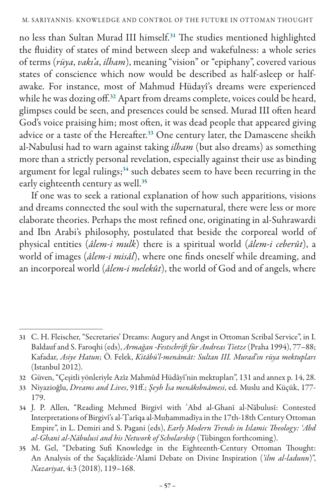no less than Sultan Murad III himself.<sup>31</sup> The studies mentioned highlighted the fluidity of states of mind between sleep and wakefulness: a whole series of terms (*rüya*, *vakı'a*, *ilham*), meaning "vision" or "epiphany", covered various states of conscience which now would be described as half-asleep or halfawake. For instance, most of Mahmud Hüdayî's dreams were experienced while he was dozing off.<sup>32</sup> Apart from dreams complete, voices could be heard, glimpses could be seen, and presences could be sensed. Murad III often heard God's voice praising him; most often, it was dead people that appeared giving advice or a taste of the Hereafter.<sup>33</sup> One century later, the Damascene sheikh al-Nabulusi had to warn against taking *ilham* (but also dreams) as something more than a strictly personal revelation, especially against their use as binding argument for legal rulings; $34$  such debates seem to have been recurring in the early eighteenth century as well.<sup>35</sup>

If one was to seek a rational explanation of how such apparitions, visions and dreams connected the soul with the supernatural, there were less or more elaborate theories. Perhaps the most refined one, originating in al-Suhrawardi and Ibn Arabi's philosophy, postulated that beside the corporeal world of physical entities (*âlem-i mulk*) there is a spiritual world (*âlem-i ceberût*), a world of images (*âlem-i misâl*), where one finds oneself while dreaming, and an incorporeal world (*âlem-i melekût*), the world of God and of angels, where

<sup>31</sup> C. H. Fleischer, "Secretaries' Dreams: Augury and Angst in Ottoman Scribal Service", in I. Baldauf and S. Faroqhi (eds), *Armağan -Festschrift für Andreas Tietze* (Praha 1994), 77–88; Kafadar, *Asiye Hatun*; Ö. Felek, *Kitâbü'l-menâmât: Sultan III. Murad'ın rüya mektupları* (Istanbul 2012).

<sup>32</sup> Güven, "Çeşitli yönleriyle Azîz Mahmûd Hüdâyî'nin mektupları", 131 and annex p. 14, 28.

<sup>33</sup> Niyazioğlu, *Dreams and Lives*, 91ff.; *Şeyh İsa menâkıbnâmesi*, ed. Muslu and Küçük, 177- 179.

<sup>34</sup> J. P. Allen, "Reading Mehmed Birgivî with ʿAbd al-Ghanī al-Nābulusī: Contested Interpretations of Birgivî's al-Ṭarīqa al-Muḥammadīya in the 17th-18th Century Ottoman Empire", in L. Demiri and S. Pagani (eds), *Early Modern Trends in Islamic Theology: ʿAbd al-Ghanī al-Nābulusī and his Network of Scholarship* (Tübingen forthcoming).

<sup>35</sup> M. Gel, "Debating Sufi Knowledge in the Eighteenth-Century Ottoman Thought: An Analysis of the Saçaḳlīzāde-'Alamī Debate on Divine Inspiration (*'ilm al-ladunn*)", *Nazariyat*, 4:3 (2018), 119–168.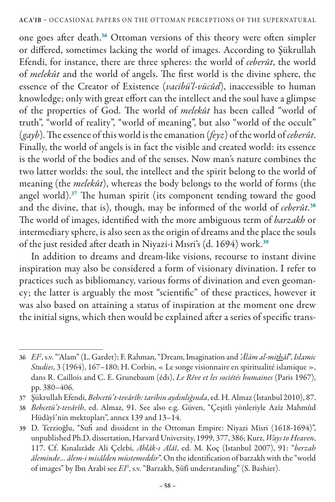one goes after death.<sup>36</sup> Ottoman versions of this theory were often simpler or differed, sometimes lacking the world of images. According to Şükrullah Efendi, for instance, there are three spheres: the world of *ceberût*, the world of *melekût* and the world of angels. The first world is the divine sphere, the essence of the Creator of Existence (*vacibü'l-vücûd*), inaccessible to human knowledge; only with great effort can the intellect and the soul have a glimpse of the properties of God. The world of *melekût* has been called "world of truth", "world of reality", "world of meaning", but also "world of the occult" (*gayb*). The essence of this world is the emanation (*feyz*) of the world of *ceberût*. Finally, the world of angels is in fact the visible and created world: its essence is the world of the bodies and of the senses. Now man's nature combines the two latter worlds: the soul, the intellect and the spirit belong to the world of meaning (the *melekût*), whereas the body belongs to the world of forms (the angel world).<sup>37</sup> The human spirit (its component tending toward the good and the divine, that is), though, may be informed of the world of *ceberût*. 38 The world of images, identified with the more ambiguous term of *barzakh* or intermediary sphere, is also seen as the origin of dreams and the place the souls of the just resided after death in Niyazi-i Mısri's (d. 1694) work.<sup>39</sup>

In addition to dreams and dream-like visions, recourse to instant divine inspiration may also be considered a form of visionary divination. I refer to practices such as bibliomancy, various forms of divination and even geomancy; the latter is arguably the most "scientific" of these practices, however it was also based on attaining a status of inspiration at the moment one drew the initial signs, which then would be explained after a series of specific trans-

<sup>36</sup> *EI2* , s.v. "'Alam" (L. Gardet); F. Rahman, "Dream, Imagination and *'Ālām al-mithāl*", *Islamic Studies*, 3 (1964), 167–180; H. Corbin, « Le songe visionnaire en spiritualité islamique », dans R. Caillois and C. E. Grunebaum (éds), *Le Rêve et les sociétés humaines* (Paris 1967), pp. 380–406.

<sup>37</sup> Şükrullah Efendi, *Behcetü't-tevârîh: tarihin aydınlığında*, ed. H. Almaz (Istanbul 2010), 87.

<sup>38</sup> *Behcetü't-tevârîh*, ed. Almaz, 91. See also e.g. Güven, "Çeşitli yönleriyle Azîz Mahmûd Hüdâyî'nin mektupları", annex 139 and 13–14.

<sup>39</sup> D. Terzioğlu, "Sufi and dissident in the Ottoman Empire: Niyazi Misri (1618-1694)", unpublished Ph.D. dissertation, Harvard University, 1999, 377, 386; Kurz, *Ways to Heaven*, 117. Cf. Kınalızâde Ali Çelebi, *Ahlâk-ı Alâî*, ed. M. Koç (Istanbul 2007), 91: "*berzah âleminde… âlem-i misâlden müstemeddir*". On the identification of barzakh with the "world of images" by Ibn Arabî see *EI*<sup>3</sup>, s.v. "Barzakh, Şūfī understanding" (S. Bashier).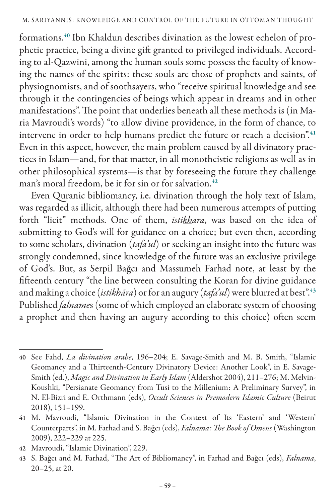formations.40 Ibn Khaldun describes divination as the lowest echelon of prophetic practice, being a divine gift granted to privileged individuals. According to al-Qazwini, among the human souls some possess the faculty of knowing the names of the spirits: these souls are those of prophets and saints, of physiognomists, and of soothsayers, who "receive spiritual knowledge and see through it the contingencies of beings which appear in dreams and in other manifestations". The point that underlies beneath all these methods is (in Maria Mavroudi's words) "to allow divine providence, in the form of chance, to intervene in order to help humans predict the future or reach a decision".<sup>41</sup> Even in this aspect, however, the main problem caused by all divinatory practices in Islam—and, for that matter, in all monotheistic religions as well as in other philosophical systems—is that by foreseeing the future they challenge man's moral freedom, be it for sin or for salvation.<sup>42</sup>

Even Quranic bibliomancy, i.e. divination through the holy text of Islam, was regarded as illicit, although there had been numerous attempts of putting forth "licit" methods. One of them, *istikhara*, was based on the idea of submitting to God's will for guidance on a choice; but even then, according to some scholars, divination (*tafa'ul*) or seeking an insight into the future was strongly condemned, since knowledge of the future was an exclusive privilege of God's. But, as Serpil Bağcı and Massumeh Farhad note, at least by the fifteenth century "the line between consulting the Koran for divine guidance and making a choice (*istikhāra*) or for an augury (*tafa'ul*) were blurred at best".<sup>43</sup> Published *falname*s (some of which employed an elaborate system of choosing a prophet and then having an augury according to this choice) often seem

<sup>40</sup> See Fahd, *La divination arabe*, 196–204; E. Savage-Smith and M. B. Smith, "Islamic Geomancy and a Thirteenth-Century Divinatory Device: Another Look", in E. Savage-Smith (ed.), *Magic and Divination in Early Islam* (Aldershot 2004), 211–276; M. Melvin-Koushki, "Persianate Geomancy from Tusi to the Millenium: A Preliminary Survey", in N. El-Bizri and E. Orthmann (eds), *Occult Sciences in Premodern Islamic Culture* (Beirut 2018), 151–199.

<sup>41</sup> M. Mavroudi, "Islamic Divination in the Context of Its 'Eastern' and 'Western' Counterparts", in M. Farhad and S. Bağcı (eds), *Falnama: The Book of Omens* (Washington 2009), 222–229 at 225.

<sup>42</sup> Mavroudi, "Islamic Divination", 229.

<sup>43</sup> S. Bağcı and M. Farhad, "The Art of Bibliomancy", in Farhad and Bağcı (eds), *Falnama*, 20–25, at 20.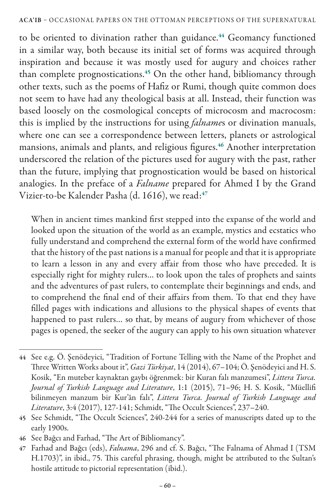to be oriented to divination rather than guidance.<sup>44</sup> Geomancy functioned in a similar way, both because its initial set of forms was acquired through inspiration and because it was mostly used for augury and choices rather than complete prognostications.<sup>45</sup> On the other hand, bibliomancy through other texts, such as the poems of Hafiz or Rumi, though quite common does not seem to have had any theological basis at all. Instead, their function was based loosely on the cosmological concepts of microcosm and macrocosm: this is implied by the instructions for using *falname*s or divination manuals, where one can see a correspondence between letters, planets or astrological mansions, animals and plants, and religious figures.<sup>46</sup> Another interpretation underscored the relation of the pictures used for augury with the past, rather than the future, implying that prognostication would be based on historical analogies. In the preface of a *Falname* prepared for Ahmed I by the Grand Vizier-to-be Kalender Pasha (d. 1616), we read:<sup>47</sup>

When in ancient times mankind first stepped into the expanse of the world and looked upon the situation of the world as an example, mystics and ecstatics who fully understand and comprehend the external form of the world have confirmed that the history of the past nations is a manual for people and that it is appropriate to learn a lesson in any and every affair from those who have preceded. It is especially right for mighty rulers… to look upon the tales of prophets and saints and the adventures of past rulers, to contemplate their beginnings and ends, and to comprehend the final end of their affairs from them. To that end they have filled pages with indications and allusions to the physical shapes of events that happened to past rulers… so that, by means of augury from whichever of those pages is opened, the seeker of the augury can apply to his own situation whatever

<sup>44</sup> See e.g. Ö. Şenödeyici, "Tradition of Fortune Telling with the Name of the Prophet and Three Written Works about it", *Gazi Türkiyat*, 14 (2014), 67–104; Ö. Şenödeyici and H. S. Kosik, "En muteber kaynaktan gaybı öğrenmek: bir Kuran falı manzumesi", *Littera Turca. Journal of Turkish Language and Literature*, 1:1 (2015), 71–96; H. S. Kosik, "Müellifi bilinmeyen manzum bir Kur'ân falı", *Littera Turca. Journal of Turkish Language and Literature*, 3:4 (2017), 127-141; Schmidt, "The Occult Sciences", 237–240.

<sup>45</sup> See Schmidt, "The Occult Sciences", 240-244 for a series of manuscripts dated up to the early 1900s.

<sup>46</sup> See Bağcı and Farhad, "The Art of Bibliomancy".

<sup>47</sup> Farhad and Bağcı (eds), *Falnama*, 296 and cf. S. Bağcı, "The Falnama of Ahmad I (TSM H.1703)", in ibid., 75. This careful phrasing, though, might be attributed to the Sultan's hostile attitude to pictorial representation (ibid.).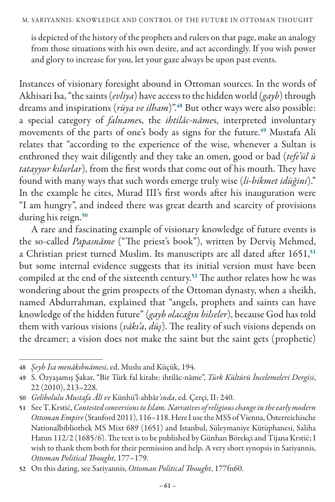is depicted of the history of the prophets and rulers on that page, make an analogy from those situations with his own desire, and act accordingly. If you wish power and glory to increase for you, let your gaze always be upon past events.

Instances of visionary foresight abound in Ottoman sources. In the words of Akhisari Isa, "the saints (*evliya*) have access to the hidden world (*gayb*) through dreams and inspirations (*rüya ve ilham*)".<sup>48</sup> But other ways were also possible: a special category of *falname*s, the *ihtilâc-nâme*s, interpreted involuntary movements of the parts of one's body as signs for the future.<sup>49</sup> Mustafa Ali relates that "according to the experience of the wise, whenever a Sultan is enthroned they wait diligently and they take an omen, good or bad (*tefe'ül ü tatayyur kılurlar*), from the first words that come out of his mouth. They have found with many ways that such words emerge truly wise (*li-hikmet idüğini*)." In the example he cites, Murad III's first words after his inauguration were "I am hungry", and indeed there was great dearth and scarcity of provisions during his reign.<sup>50</sup>

A rare and fascinating example of visionary knowledge of future events is the so-called *Papasnâme* ("The priest's book"), written by Derviş Mehmed, a Christian priest turned Muslim. Its manuscripts are all dated after 1651,<sup>51</sup> but some internal evidence suggests that its initial version must have been compiled at the end of the sixteenth century.<sup>52</sup> The author relates how he was wondering about the grim prospects of the Ottoman dynasty, when a sheikh, named Abdurrahman, explained that "angels, prophets and saints can have knowledge of the hidden future" (*gayb olacağın bilseler*), because God has told them with various visions (*vâkı'a*, *düş*). The reality of such visions depends on the dreamer; a vision does not make the saint but the saint gets (prophetic)

<sup>48</sup> *Şeyh İsa menâkıbnâmesi*, ed. Muslu and Küçük, 194.

<sup>49</sup> S. Özyaşamış Şakar, "Bir Türk fal kitabı: ihtilâc-nâme", *Türk Kültürü İncelemeleri Dergisi*, 22 (2010), 213–228.

<sup>50</sup> *Gelibolulu Mustafa Âlî ve* Künhü'l-ahbâr*'ında*, ed. Çerçi, II: 240.

<sup>51</sup> See T. Krstić, *Contested conversions to Islam. Narratives of religious change in the early modern Ottoman Empire* (Stanford 2011), 116–118. Here I use the MSS of Vienna, Österreichische Nationalbibliothek MS Mixt 689 (1651) and Istanbul, Süleymaniye Kütüphanesi, Saliha Hatun 112/2 (1685/6). The text is to be published by Günhan Börekçi and Tijana Krstić; I wish to thank them both for their permission and help. A very short synopsis in Sariyannis, *Ottoman Political Thought*, 177–179.

<sup>52</sup> On this dating, see Sariyannis, *Ottoman Political Thought*, 177fn60.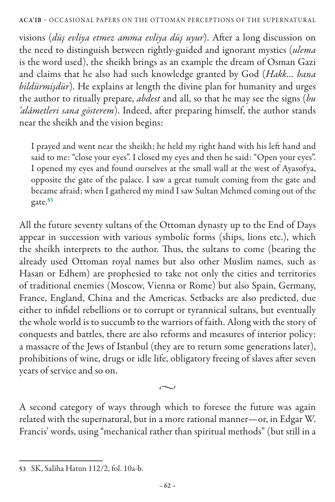## ACA'IB – OCCASIONAL PAPERS ON THE OTTOMAN PERCEPTIONS OF THE SUPERNATURAL

visions (*düş evliya etmez amma evliya düş uyur*). After a long discussion on the need to distinguish between rightly-guided and ignorant mystics (*ulema* is the word used), the sheikh brings as an example the dream of Osman Gazi and claims that he also had such knowledge granted by God (*Hakk… bana bildürmişdür*). He explains at length the divine plan for humanity and urges the author to ritually prepare, *abdest* and all, so that he may see the signs (*bu 'alâmetleri sana gösterem*). Indeed, after preparing himself, the author stands near the sheikh and the vision begins:

I prayed and went near the sheikh; he held my right hand with his left hand and said to me: "close your eyes". I closed my eyes and then he said: "Open your eyes". I opened my eyes and found ourselves at the small wall at the west of Ayasofya, opposite the gate of the palace. I saw a great tumult coming from the gate and became afraid; when I gathered my mind I saw Sultan Mehmed coming out of the gate.<sup>53</sup>

All the future seventy sultans of the Ottoman dynasty up to the End of Days appear in succession with various symbolic forms (ships, lions etc.), which the sheikh interprets to the author. Thus, the sultans to come (bearing the already used Ottoman royal names but also other Muslim names, such as Hasan or Edhem) are prophesied to take not only the cities and territories of traditional enemies (Moscow, Vienna or Rome) but also Spain, Germany, France, England, China and the Americas. Setbacks are also predicted, due either to infidel rebellions or to corrupt or tyrannical sultans, but eventually the whole world is to succumb to the warriors of faith. Along with the story of conquests and battles, there are also reforms and measures of interior policy: a massacre of the Jews of Istanbul (they are to return some generations later), prohibitions of wine, drugs or idle life, obligatory freeing of slaves after seven years of service and so on.

A second category of ways through which to foresee the future was again related with the supernatural, but in a more rational manner—or, in Edgar W. Francis' words, using "mechanical rather than spiritual methods" (but still in a

 $\sim$ 

<sup>53</sup> SK, Saliha Hatun 112/2, fol. 10a-b.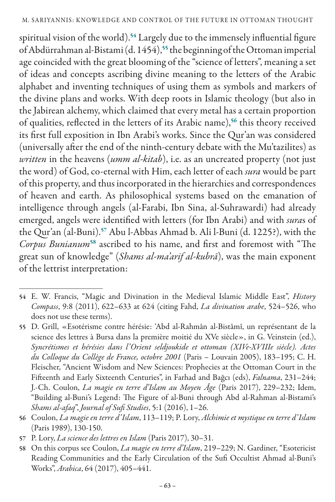spiritual vision of the world).<sup>54</sup> Largely due to the immensely influential figure of Abdürrahman al-Bistami (d. 1454),<sup>55</sup> the beginning of the Ottoman imperial age coincided with the great blooming of the "science of letters", meaning a set of ideas and concepts ascribing divine meaning to the letters of the Arabic alphabet and inventing techniques of using them as symbols and markers of the divine plans and works. With deep roots in Islamic theology (but also in the Jabirean alchemy, which claimed that every metal has a certain proportion of qualities, reflected in the letters of its Arabic name),<sup>56</sup> this theory received its first full exposition in Ibn Arabi's works. Since the Qur'an was considered (universally after the end of the ninth-century debate with the Mu'tazilites) as *written* in the heavens (*umm al-kitab*), i.e. as an uncreated property (not just the word) of God, co-eternal with Him, each letter of each *sura* would be part of this property, and thus incorporated in the hierarchies and correspondences of heaven and earth. As philosophical systems based on the emanation of intelligence through angels (al-Farabi, Ibn Sina, al-Suhrawardi) had already emerged, angels were identified with letters (for Ibn Arabi) and with *sura*s of the Qur'an (al-Buni).<sup>57</sup> Abu l-Abbas Ahmad b. Ali l-Buni (d. 1225?), with the *Corpus Bunianum*<sup>58</sup> ascribed to his name, and first and foremost with "The great sun of knowledge" (*Shams al-ma'arif al-kubrā*), was the main exponent of the lettrist interpretation:

<sup>54</sup> E. W. Francis, "Magic and Divination in the Medieval Islamic Middle East", *History Compass*, 9:8 (2011), 622–633 at 624 (citing Fahd, *La divination arabe*, 524–526, who does not use these terms).

<sup>55</sup> D. Grill, «Esotérisme contre hérésie: 'Abd al-Rahmân al-Bistâmî, un représentant de la science des lettres à Bursa dans la première moitié du XVe siècle», in G. Veinstein (ed.), *Syncrétismes et hérésies dans l'Orient seldjoukide et ottoman (XIVe-XVIIIe siècle). Actes du Colloque du Collège de France, octobre 2001* (Paris – Louvain 2005), 183–195; C. H. Fleischer, "Ancient Wisdom and New Sciences: Prophecies at the Ottoman Court in the Fifteenth and Early Sixteenth Centuries", in Farhad and Bağcı (eds), *Falnama*, 231–244; J.-Ch. Coulon, *La magie en terre d'Islam au Moyen Âge* (Paris 2017), 229–232; Idem, "Building al-Buni's Legend: The Figure of al-Buni through Abd al-Rahman al-Bistami's *Shams al-afaq*", *Journal of Sufi Studies*, 5:1 (2016), 1–26.

<sup>56</sup> Coulon, *La magie en terre d'Islam*, 113–119; P. Lory, *Alchimie et mystique en terre d'Islam*  (Paris 1989), 130-150.

<sup>57</sup> P. Lory, *La science des lettres en Islam* (Paris 2017), 30–31.

<sup>58</sup> On this corpus see Coulon, *La magie en terre d'Islam*, 219–229; N. Gardiner, "Esotericist Reading Communities and the Early Circulation of the Sufi Occultist Ahmad al-Buni's Works", *Arabica*, 64 (2017), 405–441.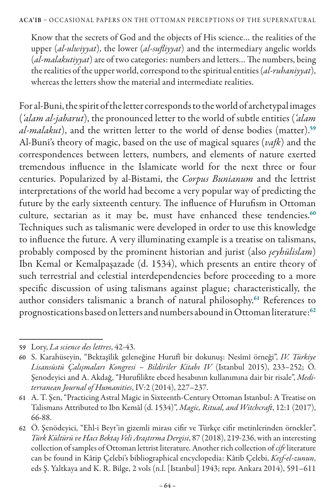Know that the secrets of God and the objects of His science… the realities of the upper (*al-ulwiyyat*), the lower (*al-sufliyyat*) and the intermediary angelic worlds (*al-malakutiyyat*) are of two categories: numbers and letters… The numbers, being the realities of the upper world, correspond to the spiritual entities (*al-ruhaniyyat*), whereas the letters show the material and intermediate realities.

For al-Buni, the spirit of the letter corresponds to the world of archetypal images (*'alam al-jabarut*), the pronounced letter to the world of subtle entities (*'alam al-malakut*), and the written letter to the world of dense bodies (matter).<sup>59</sup> Al-Buni's theory of magic, based on the use of magical squares (*vafk*) and the correspondences between letters, numbers, and elements of nature exerted tremendous influence in the Islamicate world for the next three or four centuries. Popularized by al-Bistami, the *Corpus Bunianum* and the lettrist interpretations of the world had become a very popular way of predicting the future by the early sixteenth century. The influence of Hurufism in Ottoman culture, sectarian as it may be, must have enhanced these tendencies.<sup>60</sup> Techniques such as talismanic were developed in order to use this knowledge to influence the future. A very illuminating example is a treatise on talismans, probably composed by the prominent historian and jurist (also *şeyhülislam*) Ibn Kemal or Kemalpaşazade (d. 1534), which presents an entire theory of such terrestrial and celestial interdependencies before proceeding to a more specific discussion of using talismans against plague; characteristically, the author considers talismanic a branch of natural philosophy.<sup>61</sup> References to prognostications based on letters and numbers abound in Ottoman literature:<sup>62</sup>

<sup>59</sup> Lory, *La science des lettres*, 42-43.

<sup>60</sup> S. Karahüseyin, "Bektaşîlik geleneğine Hurufî bir dokunuş: Nesîmî örneği", *IV. Türkiye Lisansüstü Çalışmaları Kongresi – Bildiriler Kitabı IV* (Istanbul 2015), 233–252; Ö. Şenodeyici and A. Akdağ, "Hurufilikte ebced hesabının kullanımına dair bir risale", *Mediterranean Journal of Humanities*, IV:2 (2014), 227–237.

<sup>61</sup> A. T. Şen, "Practicing Astral Magic in Sixteenth-Century Ottoman Istanbul: A Treatise on Talismans Attributed to Ibn Kemāl (d. 1534)", *Magic, Ritual, and Witchcraft*, 12:1 (2017), 66-88.

<sup>62</sup> Ö. Şenödeyici, "Ehl-i Beyt'in gizemli mirası cifir ve Türkçe cifir metinlerinden örnekler", *Türk Kültürü ve Hacı Bektaş Veli Araştırma Dergisi*, 87 (2018), 219-236, with an interesting collection of samples of Ottoman lettrist literature. Another rich collection of *cifr* literature can be found in Kâtip Çelebi's bibliographical encyclopedia: Kâtib Çelebi, *Keşf-el-zunun*, eds Ş. Yaltkaya and K. R. Bilge, 2 vols (n.l. [Istanbul] 1943; repr. Ankara 2014), 591–611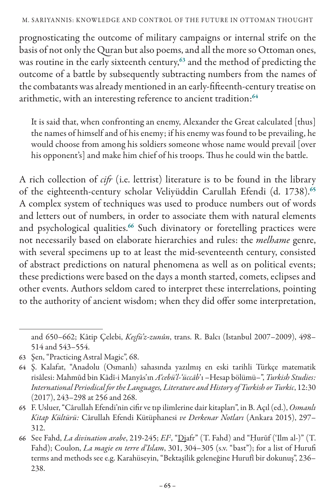## M. SARIYANNIS: Knowl edge and Control of the Future in Ottoman Thought

prognosticating the outcome of military campaigns or internal strife on the basis of not only the Quran but also poems, and all the more so Ottoman ones, was routine in the early sixteenth century,<sup>63</sup> and the method of predicting the outcome of a battle by subsequently subtracting numbers from the names of the combatants was already mentioned in an early-fifteenth-century treatise on arithmetic, with an interesting reference to ancient tradition:<sup>64</sup>

It is said that, when confronting an enemy, Alexander the Great calculated [thus] the names of himself and of his enemy; if his enemy was found to be prevailing, he would choose from among his soldiers someone whose name would prevail [over his opponent's] and make him chief of his troops. Thus he could win the battle.

A rich collection of *cifr* (i.e. lettrist) literature is to be found in the library of the eighteenth-century scholar Veliyüddin Carullah Efendi (d. 1738).<sup>65</sup> A complex system of techniques was used to produce numbers out of words and letters out of numbers, in order to associate them with natural elements and psychological qualities.<sup>66</sup> Such divinatory or foretelling practices were not necessarily based on elaborate hierarchies and rules: the *melhame* genre, with several specimens up to at least the mid-seventeenth century, consisted of abstract predictions on natural phenomena as well as on political events; these predictions were based on the days a month started, comets, eclipses and other events. Authors seldom cared to interpret these interrelations, pointing to the authority of ancient wisdom; when they did offer some interpretation,

and 650–662; Kâtip Çelebi, *Keşfü'z-zunûn*, trans. R. Balcı (Istanbul 2007–2009), 498– 514 and 543–554.

<sup>63</sup> Şen, "Practicing Astral Magic", 68.

<sup>64</sup> Ş. Kalafat, "Anadolu (Osmanlı) sahasında yazılmış en eski tarihli Türkçe matematik risâlesi: Mahmūd bin Kādī-i Manyās'ın *A'cebü'l-'üccāb*'ı –Hesap bölümü–", *Turkish Studies: International Periodical for the Languages, Literature and History of Turkish or Turkic*, 12:30 (2017), 243–298 at 256 and 268.

<sup>65</sup> F. Usluer, "Cârullah Efendi'nin cifir ve tıp ilimlerine dair kitapları", in B. Açıl (ed.), *Osmanlı Kitap Kültürü:* Cârullah Efendi Kütüphanesi *ve Derkenar Notları* (Ankara 2015), 297– 312.

<sup>66</sup> See Fahd, *La divination arabe*, 219-245; *EI2* , "Djafr" (T. Fahd) and "Ḥurūf ('Ilm al-)" (T. Fahd); Coulon, *La magie en terre d'Islam*, 301, 304–305 (s.v. "bast"); for a list of Hurufi terms and methods see e.g. Karahüseyin, "Bektaşîlik geleneğine Hurufî bir dokunuş", 236– 238.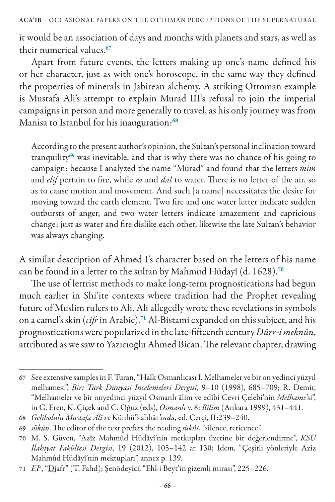ACA'IB – OCCASIONAL PAPERS ON THE OTTOMAN PERCEPTIONS OF THE SUPERNATURAL

it would be an association of days and months with planets and stars, as well as their numerical values.<sup>67</sup>

Apart from future events, the letters making up one's name defined his or her character, just as with one's horoscope, in the same way they defined the properties of minerals in Jabirean alchemy. A striking Ottoman example is Mustafa Ali's attempt to explain Murad III's refusal to join the imperial campaigns in person and more generally to travel, as his only journey was from Manisa to Istanbul for his inauguration:<sup>68</sup>

According to the present author's opinion, the Sultan's personal inclination toward tranquility<sup>69</sup> was inevitable, and that is why there was no chance of his going to campaign: because I analyzed the name "Murad" and found that the letters *mim*  and *elif* pertain to fire, while *ra* and *dal* to water. There is no letter of the air, so as to cause motion and movement. And such [a name] necessitates the desire for moving toward the earth element. Two fire and one water letter indicate sudden outbursts of anger, and two water letters indicate amazement and capricious change: just as water and fire dislike each other, likewise the late Sultan's behavior was always changing.

A similar description of Ahmed I's character based on the letters of his name can be found in a letter to the sultan by Mahmud Hüdayî (d. 1628).<sup>70</sup>

The use of lettrist methods to make long-term prognostications had begun much earlier in Shi'ite contexts where tradition had the Prophet revealing future of Muslim rulers to Ali. Ali allegedly wrote these revelations in symbols on a camel's skin (*cifr* in Arabic).<sup>71</sup> Al-Bistami expanded on this subject, and his prognostications were popularized in the late-fifteenth century *Dürr-i meknûn*, attributed as we saw to Yazıcıoğlu Ahmed Bican. The relevant chapter, drawing

<sup>67</sup> See extensive samples in F. Turan, "Halk Osmanlıcası I. Melhameler ve bir on yedinci yüzyıl melhamesi", *Bir: Türk Dünyasi Incelemeleri Dergisi*, 9–10 (1998), 685–709; R. Demir, "Melhameler ve bir onyedinci yüzyıl Osmanlı âlim ve edîbi Cevrî Çelebi'nin *Melhame*'si", in G. Eren, K. Çiçek and C. Oğuz (eds), *Osmanlı* v. 8: *Bilim* (Ankara 1999), 431–441.

<sup>68</sup> *Gelibolulu Mustafa Âlî ve* Künhü'l-ahbâr*'ında*, ed. Çerçi, II:239–240.

<sup>69</sup> *sükûn*. The editor of the text prefers the reading *sükût*, "silence, reticence".

<sup>70</sup> M. S. Güven, "Azîz Mahmûd Hüdâyî'nin metkupları üzerine bir değerlendirme", *KSÜ İlahiyat Fakültesi Dergisi*, 19 (2012), 105–142 at 130; Idem, "Çeşitli yönleriyle Azîz Mahmûd Hüdâyî'nin mektupları", annex p. 139.

<sup>71</sup> *EI2* , "Djafr" (T. Fahd); Şenödeyici, "Ehl-i Beyt'in gizemli mirası", 225–226.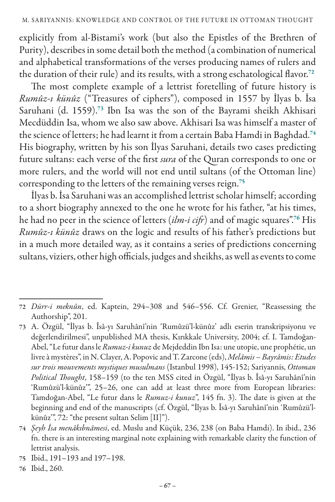explicitly from al-Bistami's work (but also the Epistles of the Brethren of Purity), describes in some detail both the method (a combination of numerical and alphabetical transformations of the verses producing names of rulers and the duration of their rule) and its results, with a strong eschatological flavor.<sup>72</sup>

The most complete example of a lettrist foretelling of future history is *Rumûz-ı künûz* ("Treasures of ciphers"), composed in 1557 by İlyas b. İsa Saruhani (d. 1559).<sup>73</sup> Ibn Isa was the son of the Bayrami sheikh Akhisari Mecdüddin Isa, whom we also saw above. Akhisari Isa was himself a master of the science of letters; he had learnt it from a certain Baba Hamdi in Baghdad.<sup>74</sup> His biography, written by his son İlyas Saruhani, details two cases predicting future sultans: each verse of the first *sura* of the Quran corresponds to one or more rulers, and the world will not end until sultans (of the Ottoman line) corresponding to the letters of the remaining verses reign.<sup>75</sup>

İlyas b. İsa Saruhani was an accomplished lettrist scholar himself; according to a short biography annexed to the one he wrote for his father, "at his times, he had no peer in the science of letters (*ilm-i cifr*) and of magic squares".<sup>76</sup> His *Rumûz-ı künûz* draws on the logic and results of his father's predictions but in a much more detailed way, as it contains a series of predictions concerning sultans, viziers, other high officials, judges and sheikhs, as well as events to come

75 Ibid., 191–193 and 197–198.

<sup>72</sup> *Dürr-i meknûn*, ed. Kaptein, 294–308 and 546–556. Cf. Grenier, "Reassessing the Authorship", 201.

<sup>73</sup> A. Özgül, "İlyas b. Îsâ-yı Saruhânî'nin 'Rumûzü'l-künûz' adlı eserin transkripsiyonu ve değerlendirilmesi", unpublished MA thesis, Kırıkkale University, 2004; cf. I. Tamdoğan-Abel, "Le futur dans le *Rumuz-i kunuz* de Mejdeddin Ibn Isa: une utopie, une prophétie, un livre à mystères", in N. Clayer, A. Popovic and T. Zarcone (eds), *Melâmis – Bayrâmis: Etudes sur trois mouvements mystiques musulmans* (Istanbul 1998), 145-152; Sariyannis, *Ottoman Political Thought*, 158–159 (to the ten MSS cited in Özgül, "İlyas b. Îsâ-yı Saruhânî'nin 'Rumûzü'l-künûz'", 25–26, one can add at least three more from European libraries: Tamdoğan-Abel, "Le futur dans le *Rumuz-i kunuz*", 145 fn. 3). The date is given at the beginning and end of the manuscripts (cf. Özgül, "İlyas b. Îsâ-yı Saruhânî'nin 'Rumûzü'lkünûz'", 72: "the present sultan Selim [II]").

<sup>74</sup> *Şeyh İsa menâkıbnâmesi*, ed. Muslu and Küçük, 236, 238 (on Baba Hamdi). In ibid., 236 fn. there is an interesting marginal note explaining with remarkable clarity the function of lettrist analysis.

<sup>76</sup> Ibid., 260.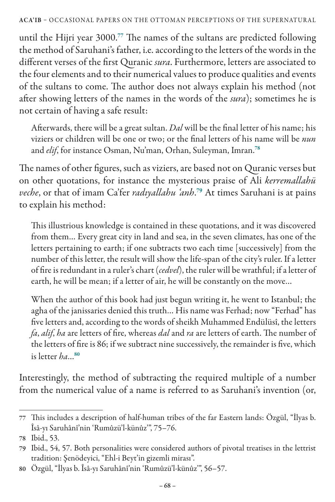until the Hijri year 3000.<sup>77</sup> The names of the sultans are predicted following the method of Saruhani's father, i.e. according to the letters of the words in the different verses of the first Quranic *sura*. Furthermore, letters are associated to the four elements and to their numerical values to produce qualities and events of the sultans to come. The author does not always explain his method (not after showing letters of the names in the words of the *sura*); sometimes he is not certain of having a safe result:

Afterwards, there will be a great sultan. *Dal* will be the final letter of his name; his viziers or children will be one or two; or the final letters of his name will be *nun*  and *elif*, for instance Osman, Nu'man, Orhan, Suleyman, Imran.<sup>78</sup>

The names of other figures, such as viziers, are based not on Quranic verses but on other quotations, for instance the mysterious praise of Ali *kerremallahü veche*, or that of imam Ca'fer *radıyallahu 'anh*. <sup>79</sup> At times Saruhani is at pains to explain his method:

This illustrious knowledge is contained in these quotations, and it was discovered from them… Every great city in land and sea, in the seven climates, has one of the letters pertaining to earth; if one subtracts two each time [successively] from the number of this letter, the result will show the life-span of the city's ruler. If a letter of fire is redundant in a ruler's chart (*cedvel*), the ruler will be wrathful; if a letter of earth, he will be mean; if a letter of air, he will be constantly on the move…

When the author of this book had just begun writing it, he went to Istanbul; the agha of the janissaries denied this truth… His name was Ferhad; now "Ferhad" has five letters and, according to the words of sheikh Muhammed Endülüsî, the letters *fa*, *alif*, *ha* are letters of fire, whereas *dal* and *ra* are letters of earth. The number of the letters of fire is 86; if we subtract nine successively, the remainder is five, which is letter *ha*…<sup>80</sup>

Interestingly, the method of subtracting the required multiple of a number from the numerical value of a name is referred to as Saruhani's invention (or,

<sup>77</sup> This includes a description of half-human tribes of the far Eastern lands: Özgül, "İlyas b. Îsâ-yı Saruhânî'nin 'Rumûzü'l-künûz'", 75–76.

<sup>78</sup> Ibid., 53.

<sup>79</sup> Ibid., 54, 57. Both personalities were considered authors of pivotal treatises in the lettrist tradition: Şenödeyici, "Ehl-i Beyt'in gizemli mirası".

<sup>80</sup> Özgül, "İlyas b. Îsâ-yı Saruhânî'nin 'Rumûzü'l-künûz'", 56–57.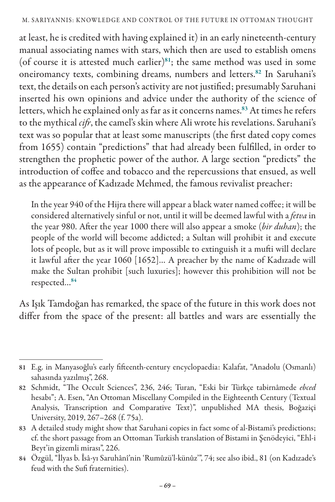at least, he is credited with having explained it) in an early nineteenth-century manual associating names with stars, which then are used to establish omens (of course it is attested much earlier) $81$ ; the same method was used in some oneiromancy texts, combining dreams, numbers and letters.<sup>82</sup> In Saruhani's text, the details on each person's activity are not justified; presumably Saruhani inserted his own opinions and advice under the authority of the science of letters, which he explained only as far as it concerns names.<sup>83</sup> At times he refers to the mythical *cifr*, the camel's skin where Ali wrote his revelations. Saruhani's text was so popular that at least some manuscripts (the first dated copy comes from 1655) contain "predictions" that had already been fulfilled, in order to strengthen the prophetic power of the author. A large section "predicts" the introduction of coffee and tobacco and the repercussions that ensued, as well as the appearance of Kadızade Mehmed, the famous revivalist preacher:

In the year 940 of the Hijra there will appear a black water named coffee; it will be considered alternatively sinful or not, until it will be deemed lawful with a *fetva* in the year 980. After the year 1000 there will also appear a smoke (*bir duhan*); the people of the world will become addicted; a Sultan will prohibit it and execute lots of people, but as it will prove impossible to extinguish it a mufti will declare it lawful after the year 1060 [1652]… A preacher by the name of Kadızade will make the Sultan prohibit [such luxuries]; however this prohibition will not be respected…<sup>84</sup>

As Işık Tamdoğan has remarked, the space of the future in this work does not differ from the space of the present: all battles and wars are essentially the

<sup>81</sup> E.g. in Manyasoğlu's early fifteenth-century encyclopaedia: Kalafat, "Anadolu (Osmanlı) sahasında yazılmış", 268.

<sup>82</sup> Schmidt, "The Occult Sciences", 236, 246; Turan, "Eski bir Türkçe tabirnâmede *ebced*  hesabı"; A. Esen, "An Ottoman Miscellany Compiled in the Eighteenth Century (Textual Analysis, Transcription and Comparative Text)", unpublished MA thesis, Boğaziçi University, 2019, 267–268 (f. 75a).

<sup>83</sup> A detailed study might show that Saruhani copies in fact some of al-Bistami's predictions; cf. the short passage from an Ottoman Turkish translation of Bistami in Şenödeyici, "Ehl-i Beyt'in gizemli mirası", 226.

<sup>84</sup> Özgül, "İlyas b. Îsâ-yı Saruhânî'nin 'Rumûzü'l-künûz'", 74; see also ibid., 81 (on Kadızade's feud with the Sufi fraternities).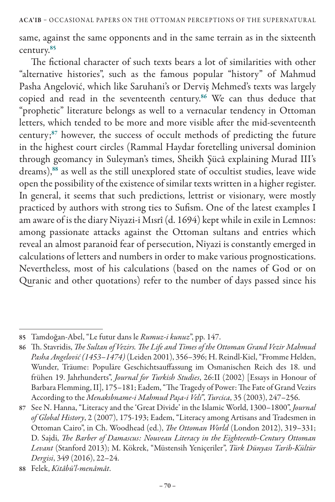same, against the same opponents and in the same terrain as in the sixteenth century.<sup>85</sup>

The fictional character of such texts bears a lot of similarities with other "alternative histories", such as the famous popular "history" of Mahmud Pasha Angelović, which like Saruhani's or Derviş Mehmed's texts was largely copied and read in the seventeenth century.<sup>86</sup> We can thus deduce that "prophetic" literature belongs as well to a vernacular tendency in Ottoman letters, which tended to be more and more visible after the mid-seventeenth century;<sup>87</sup> however, the success of occult methods of predicting the future in the highest court circles (Rammal Haydar foretelling universal dominion through geomancy in Suleyman's times, Sheikh Şücâ explaining Murad III's dreams),<sup>88</sup> as well as the still unexplored state of occultist studies, leave wide open the possibility of the existence of similar texts written in a higher register. In general, it seems that such predictions, lettrist or visionary, were mostly practiced by authors with strong ties to Sufism. One of the latest examples I am aware of is the diary Niyazi-i Mısrî (d. 1694) kept while in exile in Lemnos: among passionate attacks against the Ottoman sultans and entries which reveal an almost paranoid fear of persecution, Niyazi is constantly emerged in calculations of letters and numbers in order to make various prognostications. Nevertheless, most of his calculations (based on the names of God or on Quranic and other quotations) refer to the number of days passed since his

<sup>85</sup> Tamdoğan-Abel, "Le futur dans le *Rumuz-i kunuz*", pp. 147.

<sup>86</sup> Th. Stavridis, *The Sultan of Vezirs. The Life and Times of the Ottoman Grand Vezir Mahmud Pasha Angelović (1453*–*1474)* (Leiden 2001), 356–396; H. Reindl-Kiel, "Fromme Helden, Wunder, Träume: Populäre Geschichtsauffassung im Osmanischen Reich des 18. und frühen 19. Jahrhunderts", *Journal for Turkish Studies*, 26:II (2002) [Essays in Honour of Barbara Flemming, II], 175–181; Eadem, "The Tragedy of Power: The Fate of Grand Vezirs According to the *Menakıbname-i Mahmud Paşa-i Veli*", *Turcica*, 35 (2003), 247–256.

<sup>87</sup> See N. Hanna, "Literacy and the 'Great Divide' in the Islamic World, 1300–1800", *Journal of Global History*, 2 (2007), 175-193; Eadem, "Literacy among Artisans and Tradesmen in Ottoman Cairo", in Ch. Woodhead (ed.), *The Ottoman World* (London 2012), 319–331; D. Sajdi, *The Barber of Damascus: Nouveau Literacy in the Eighteenth-Century Ottoman Levant* (Stanford 2013); M. Kökrek, "Müstensih Yeniçeriler", *Türk Dünyası Tarih-Kültür Dergisi*, 349 (2016), 22–24.

<sup>88</sup> Felek, *Kitâbü'l-menâmât*.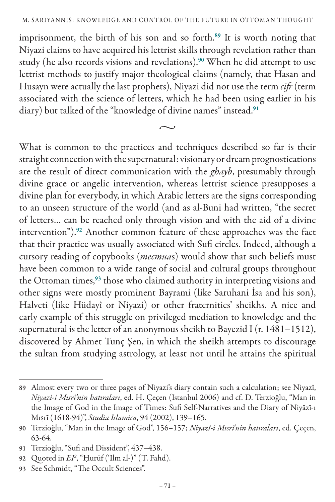imprisonment, the birth of his son and so forth.<sup>89</sup> It is worth noting that Niyazi claims to have acquired his lettrist skills through revelation rather than study (he also records visions and revelations).<sup>90</sup> When he did attempt to use lettrist methods to justify major theological claims (namely, that Hasan and Husayn were actually the last prophets), Niyazi did not use the term *cifr* (term associated with the science of letters, which he had been using earlier in his diary) but talked of the "knowledge of divine names" instead.<sup>91</sup>

 $\sim$ 

What is common to the practices and techniques described so far is their straight connection with the supernatural: visionary or dream prognostications are the result of direct communication with the *ghayb*, presumably through divine grace or angelic intervention, whereas lettrist science presupposes a divine plan for everybody, in which Arabic letters are the signs corresponding to an unseen structure of the world (and as al-Buni had written, "the secret of letters… can be reached only through vision and with the aid of a divine intervention").<sup>92</sup> Another common feature of these approaches was the fact that their practice was usually associated with Sufi circles. Indeed, although a cursory reading of copybooks (*mecmua*s) would show that such beliefs must have been common to a wide range of social and cultural groups throughout the Ottoman times,<sup>93</sup> those who claimed authority in interpreting visions and other signs were mostly prominent Bayrami (like Saruhani İsa and his son), Halveti (like Hüdayî or Niyazi) or other fraternities' sheikhs. A nice and early example of this struggle on privileged mediation to knowledge and the supernatural is the letter of an anonymous sheikh to Bayezid I (r. 1481-1512), discovered by Ahmet Tunç Şen, in which the sheikh attempts to discourage the sultan from studying astrology, at least not until he attains the spiritual

<sup>89</sup> Almost every two or three pages of Niyazi's diary contain such a calculation; see Niyazî, *Niyazî-i Mısrî'nin hatıraları*, ed. H. Çeçen (Istanbul 2006) and cf. D. Terzioğlu, "Man in the Image of God in the Image of Times: Sufi Self-Narratives and the Diary of Niyāzī-ı Mıṣrī (1618-94)", *Studia Islamica*, 94 (2002), 139–165.

<sup>90</sup> Terzioğlu, "Man in the Image of God", 156–157; *Niyazî-i Mısrî'nin hatıraları*, ed. Çeçen, 63-64.

<sup>91</sup> Terzioğlu, "Sufi and Dissident", 437–438.

<sup>92</sup> Quoted in *EI2* , "Ḥurūf ('Ilm al-)" (T. Fahd).

<sup>93</sup> See Schmidt, "The Occult Sciences".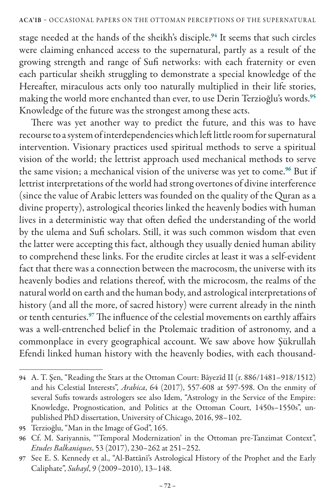stage needed at the hands of the sheikh's disciple.<sup>94</sup> It seems that such circles were claiming enhanced access to the supernatural, partly as a result of the growing strength and range of Sufi networks: with each fraternity or even each particular sheikh struggling to demonstrate a special knowledge of the Hereafter, miraculous acts only too naturally multiplied in their life stories, making the world more enchanted than ever, to use Derin Terzioğlu's words.<sup>95</sup> Knowledge of the future was the strongest among these acts.

There was yet another way to predict the future, and this was to have recourse to a system of interdependencies which left little room for supernatural intervention. Visionary practices used spiritual methods to serve a spiritual vision of the world; the lettrist approach used mechanical methods to serve the same vision; a mechanical vision of the universe was yet to come.<sup>96</sup> But if lettrist interpretations of the world had strong overtones of divine interference (since the value of Arabic letters was founded on the quality of the Quran as a divine property), astrological theories linked the heavenly bodies with human lives in a deterministic way that often defied the understanding of the world by the ulema and Sufi scholars. Still, it was such common wisdom that even the latter were accepting this fact, although they usually denied human ability to comprehend these links. For the erudite circles at least it was a self-evident fact that there was a connection between the macrocosm, the universe with its heavenly bodies and relations thereof, with the microcosm, the realms of the natural world on earth and the human body, and astrological interpretations of history (and all the more, of sacred history) were current already in the ninth or tenth centuries.<sup>97</sup> The influence of the celestial movements on earthly affairs was a well-entrenched belief in the Ptolemaic tradition of astronomy, and a commonplace in every geographical account. We saw above how Şükrullah Efendi linked human history with the heavenly bodies, with each thousand-

<sup>94</sup> A. T. Şen, "Reading the Stars at the Ottoman Court: Bāyezīd II (r. 886/1481–918/1512) and his Celestial Interests", *Arabica*, 64 (2017), 557-608 at 597-598. On the enmity of several Sufis towards astrologers see also Idem, "Astrology in the Service of the Empire: Knowledge, Prognostication, and Politics at the Ottoman Court, 1450s–1550s", unpublished PhD dissertation, University of Chicago, 2016, 98–102.

<sup>95</sup> Terzioğlu, "Man in the Image of God", 165.

<sup>96</sup> Cf. M. Sariyannis, "'Temporal Modernization' in the Ottoman pre-Tanzimat Context", *Etudes Balkaniques*, 53 (2017), 230–262 at 251–252.

<sup>97</sup> See E. S. Kennedy et al., "Al-Battānī's Astrological History of the Prophet and the Early Caliphate", *Suhayl*, 9 (2009–2010), 13–148.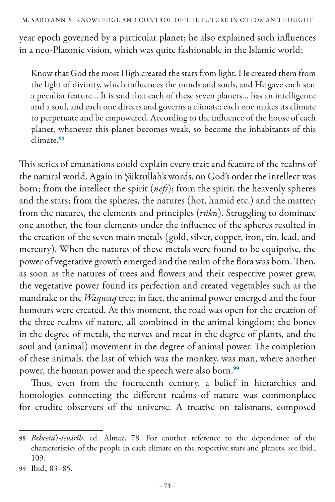year epoch governed by a particular planet; he also explained such influences in a neo-Platonic vision, which was quite fashionable in the Islamic world:

Know that God the most High created the stars from light. He created them from the light of divinity, which influences the minds and souls, and He gave each star a peculiar feature… It is said that each of these seven planets… has an intelligence and a soul, and each one directs and governs a climate; each one makes its climate to perpetuate and be empowered. According to the influence of the house of each planet, whenever this planet becomes weak, so become the inhabitants of this climate.<sup>98</sup>

This series of emanations could explain every trait and feature of the realms of the natural world. Again in Şükrullah's words, on God's order the intellect was born; from the intellect the spirit (*nefs*); from the spirit, the heavenly spheres and the stars; from the spheres, the natures (hot, humid etc.) and the matter; from the natures, the elements and principles (*rükn*). Struggling to dominate one another, the four elements under the influence of the spheres resulted in the creation of the seven main metals (gold, silver, copper, iron, tin, lead, and mercury). When the natures of these metals were found to be equipoise, the power of vegetative growth emerged and the realm of the flora was born. Then, as soon as the natures of trees and flowers and their respective power grew, the vegetative power found its perfection and created vegetables such as the mandrake or the *Waqwaq* tree; in fact, the animal power emerged and the four humours were created. At this moment, the road was open for the creation of the three realms of nature, all combined in the animal kingdom: the bones in the degree of metals, the nerves and meat in the degree of plants, and the soul and (animal) movement in the degree of animal power. The completion of these animals, the last of which was the monkey, was man, where another power, the human power and the speech were also born.<sup>99</sup>

Thus, even from the fourteenth century, a belief in hierarchies and homologies connecting the different realms of nature was commonplace for erudite observers of the universe. A treatise on talismans, composed

<sup>98</sup> *Behcetü't-tevârîh*, ed. Almaz, 78. For another reference to the dependence of the characteristics of the people in each climate on the respective stars and planets, see ibid., 109.

<sup>99</sup> Ibid., 83–85.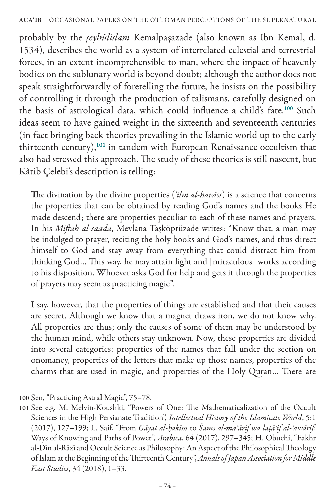## ACA'IB – OCCASIONAL PAPERS ON THE OTTOMAN PERCEPTIONS OF THE SUPERNATURAL

probably by the *şeyhülislam* Kemalpaşazade (also known as Ibn Kemal, d. 1534), describes the world as a system of interrelated celestial and terrestrial forces, in an extent incomprehensible to man, where the impact of heavenly bodies on the sublunary world is beyond doubt; although the author does not speak straightforwardly of foretelling the future, he insists on the possibility of controlling it through the production of talismans, carefully designed on the basis of astrological data, which could influence a child's fate.<sup>100</sup> Such ideas seem to have gained weight in the sixteenth and seventeenth centuries (in fact bringing back theories prevailing in the Islamic world up to the early thirteenth century),<sup>101</sup> in tandem with European Renaissance occultism that also had stressed this approach. The study of these theories is still nascent, but Kâtib Çelebi's description is telling:

The divination by the divine properties (*'ilm al-havāss*) is a science that concerns the properties that can be obtained by reading God's names and the books He made descend; there are properties peculiar to each of these names and prayers. In his *Miftah al-saada*, Mevlana Taşköprüzade writes: "Know that, a man may be indulged to prayer, reciting the holy books and God's names, and thus direct himself to God and stay away from everything that could distract him from thinking God… This way, he may attain light and [miraculous] works according to his disposition. Whoever asks God for help and gets it through the properties of prayers may seem as practicing magic".

I say, however, that the properties of things are established and that their causes are secret. Although we know that a magnet draws iron, we do not know why. All properties are thus; only the causes of some of them may be understood by the human mind, while others stay unknown. Now, these properties are divided into several categories: properties of the names that fall under the section on onomancy, properties of the letters that make up those names, properties of the charms that are used in magic, and properties of the Holy Quran… There are

<sup>100</sup> Şen, "Practicing Astral Magic", 75–78.

<sup>101</sup> See e.g. Μ. Melvin-Koushki, "Powers of One: The Mathematicalization of the Occult Sciences in the High Persianate Tradition", *Intellectual History of the Islamicate World*, 5:1 (2017), 127–199; L. Saif, "From *Ġāyat al-ḥakīm* to *Šams al-maʿārif wa laṭāʾif al-ʿawārif*: Ways of Knowing and Paths of Power", *Arabica*, 64 (2017), 297–345; H. Obuchi, "Fakhr al-Dīn al-Rāzī and Occult Science as Philosophy: An Aspect of the Philosophical Theology of Islam at the Beginning of the Thirteenth Century", *Annals of Japan Association for Middle East Studies*, 34 (2018), 1–33.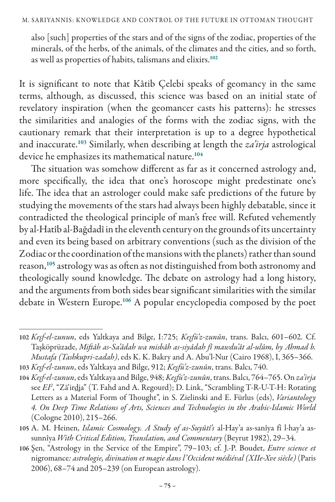also [such] properties of the stars and of the signs of the zodiac, properties of the minerals, of the herbs, of the animals, of the climates and the cities, and so forth, as well as properties of habits, talismans and elixirs.<sup>102</sup>

It is significant to note that Kâtib Çelebi speaks of geomancy in the same terms, although, as discussed, this science was based on an initial state of revelatory inspiration (when the geomancer casts his patterns): he stresses the similarities and analogies of the forms with the zodiac signs, with the cautionary remark that their interpretation is up to a degree hypothetical and inaccurate.<sup>103</sup> Similarly, when describing at length the *za'irja* astrological device he emphasizes its mathematical nature.<sup>104</sup>

The situation was somehow different as far as it concerned astrology and, more specifically, the idea that one's horoscope might predestinate one's life. The idea that an astrologer could make safe predictions of the future by studying the movements of the stars had always been highly debatable, since it contradicted the theological principle of man's free will. Refuted vehemently by al-Hatîb al-Bağdadî in the eleventh century on the grounds of its uncertainty and even its being based on arbitrary conventions (such as the division of the Zodiac or the coordination of the mansions with the planets) rather than sound reason,<sup>105</sup> astrology was as often as not distinguished from both astronomy and theologically sound knowledge. The debate on astrology had a long history, and the arguments from both sides bear significant similarities with the similar debate in Western Europe.<sup>106</sup> A popular encyclopedia composed by the poet

<sup>102</sup> *Keşf-el-zunun*, eds Yaltkaya and Bilge, I:725; *Keşfü'z-zunûn*, trans. Balcı, 601–602. Cf. Taşköprüzade, *Miftâh as-Sa'âdah wa misbâh as-siyâdah fî mawdu'ât al-ulûm, by Ahmad b. Mustafa (Tashkupri-zadah)*, eds K. K. Bakry and A. Abu'l-Nur (Cairo 1968), I, 365–366.

<sup>103</sup> *Keşf-el-zunun*, eds Yaltkaya and Bilge, 912; *Keşfü'z-zunûn*, trans. Balcı, 740.

<sup>104</sup> *Keşf-el-zunun*, eds Yaltkaya and Bilge, 948; *Keşfü'z-zunûn*, trans. Balcı, 764–765. On *za'irja*  see *EI2* , "Zā'irdja" (T. Fahd and A. Regourd); D. Link, "Scrambling T-R-U-T-H: Rotating Letters as a Material Form of Thought", in S. Zielinski and E. Fürlus (eds), *Variantology 4. On Deep Time Relations of Arts, Sciences and Technologies in the Arabic-Islamic World* (Cologne 2010), 215–266.

<sup>105</sup> A. M. Heinen, *Islamic Cosmology. A Study of as-Suyûtî's* al-Hay'a as-sanîya fî l-hay'a assunnîya *With Critical Edition, Translation, and Commentary* (Beyrut 1982), 29–34.

<sup>106</sup> Şen, "Astrology in the Service of the Empire", 79–103; cf. J.-P. Boudet, *Entre science et*  nigromance*: astrologie, divination et magie dans l'Occident médiéval (XIIe-Xve siècle)* (Paris 2006), 68–74 and 205–239 (on European astrology).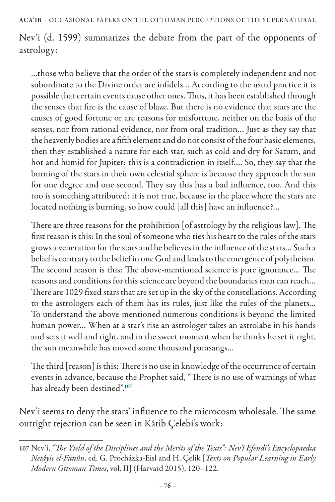Nev'i (d. 1599) summarizes the debate from the part of the opponents of astrology:

…those who believe that the order of the stars is completely independent and not subordinate to the Divine order are infidels… According to the usual practice it is possible that certain events cause other ones. Thus, it has been established through the senses that fire is the cause of blaze. But there is no evidence that stars are the causes of good fortune or are reasons for misfortune, neither on the basis of the senses, nor from rational evidence, nor from oral tradition… Just as they say that the heavenly bodies are a fifth element and do not consist of the four basic elements, then they established a nature for each star, such as cold and dry for Saturn, and hot and humid for Jupiter: this is a contradiction in itself…. So, they say that the burning of the stars in their own celestial sphere is because they approach the sun for one degree and one second. They say this has a bad influence, too. And this too is something attributed: it is not true, because in the place where the stars are located nothing is burning, so how could [all this] have an influence?…

There are three reasons for the prohibition [of astrology by the religious law]. The first reason is this: In the soul of someone who ties his heart to the rules of the stars grows a veneration for the stars and he believes in the influence of the stars… Such a belief is contrary to the belief in one God and leads to the emergence of polytheism. The second reason is this: The above-mentioned science is pure ignorance… The reasons and conditions for this science are beyond the boundaries man can reach… There are 1029 fixed stars that are set up in the sky of the constellations. According to the astrologers each of them has its rules, just like the rules of the planets… To understand the above-mentioned numerous conditions is beyond the limited human power… When at a star's rise an astrologer takes an astrolabe in his hands and sets it well and right, and in the sweet moment when he thinks he set it right, the sun meanwhile has moved some thousand parasangs…

The third [reason] is this: There is no use in knowledge of the occurrence of certain events in advance, because the Prophet said, "There is no use of warnings of what has already been destined".<sup>107</sup>

Nev'i seems to deny the stars' influence to the microcosm wholesale. The same outright rejection can be seen in Kâtib Çelebi's work:

<sup>107</sup> Nev'î, *"The Yield of the Disciplines and the Merits of the Texts": Nev'î Efendi's Encyclopaedıa Netâyic el-Fünûn*, ed. G. Procházka-Eisl and H. Çelik [*Texts on Popular Learning in Early Modern Ottoman Times*, vol. II] (Harvard 2015), 120–122.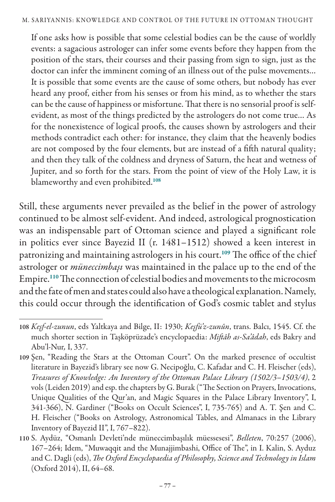If one asks how is possible that some celestial bodies can be the cause of worldly events: a sagacious astrologer can infer some events before they happen from the position of the stars, their courses and their passing from sign to sign, just as the doctor can infer the imminent coming of an illness out of the pulse movements… It is possible that some events are the cause of some others, but nobody has ever heard any proof, either from his senses or from his mind, as to whether the stars can be the cause of happiness or misfortune. That there is no sensorial proof is selfevident, as most of the things predicted by the astrologers do not come true… As for the nonexistence of logical proofs, the causes shown by astrologers and their methods contradict each other: for instance, they claim that the heavenly bodies are not composed by the four elements, but are instead of a fifth natural quality; and then they talk of the coldness and dryness of Saturn, the heat and wetness of Jupiter, and so forth for the stars. From the point of view of the Holy Law, it is blameworthy and even prohibited.<sup>108</sup>

Still, these arguments never prevailed as the belief in the power of astrology continued to be almost self-evident. And indeed, astrological prognostication was an indispensable part of Ottoman science and played a significant role in politics ever since Bayezid II (r. 1481–1512) showed a keen interest in patronizing and maintaining astrologers in his court.<sup>109</sup> The office of the chief astrologer or *müneccimbaşı* was maintained in the palace up to the end of the Empire.<sup>110</sup> The connection of celestial bodies and movements to the microcosm and the fate of men and states could also have a theological explanation. Namely, this could occur through the identification of God's cosmic tablet and stylus

<sup>108</sup> *Keşf-el-zunun*, eds Yaltkaya and Bilge, II: 1930; *Keşfü'z-zunûn*, trans. Balcı, 1545. Cf. the much shorter section in Taşköprüzade's encyclopaedia: *Miftâh as-Sa'âdah*, eds Bakry and Abu'l-Nur*,* I, 337.

<sup>109</sup> Şen, "Reading the Stars at the Ottoman Court". On the marked presence of occultist literature in Bayezid's library see now G. Necipoğlu, C. Kafadar and C. H. Fleischer (eds), *Treasures of Knowledge: An Inventory of the Ottoman Palace Library (1502/3*–*1503/4)*, 2 vols (Leiden 2019) and esp. the chapters by G. Burak ("The Section on Prayers, Invocations, Unique Qualities of the Qur'an, and Magic Squares in the Palace Library Inventory", I, 341-366), N. Gardiner ("Books on Occult Sciences", I, 735-765) and A. T. Şen and C. H. Fleischer ("Books on Astrology, Astronomical Tables, and Almanacs in the Library Inventory of Bayezid II", I, 767–822).

<sup>110</sup> S. Aydüz, "Osmanlı Devleti'nde müneccimbaşılık müessesesi", *Belleten*, 70:257 (2006), 167–264; Idem, "Muwaqqit and the Munajjimbashi, Office of The", in I. Kalin, S. Ayduz and C. Dagli (eds), *The Oxford Encyclopaedia of Philosophy, Science and Technology in Islam* (Oxford 2014), II, 64–68.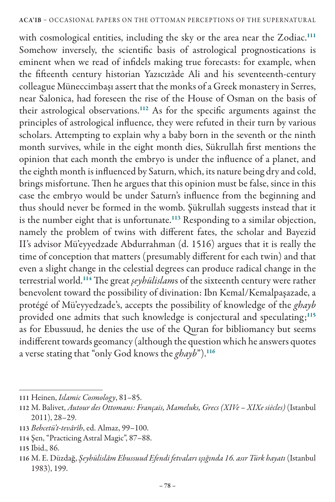with cosmological entities, including the sky or the area near the Zodiac.<sup>111</sup> Somehow inversely, the scientific basis of astrological prognostications is eminent when we read of infidels making true forecasts: for example, when the fifteenth century historian Yazıcızâde Ali and his seventeenth-century colleague Müneccimbaşı assert that the monks of a Greek monastery in Serres, near Salonica, had foreseen the rise of the House of Osman on the basis of their astrological observations.<sup>112</sup> As for the specific arguments against the principles of astrological influence, they were refuted in their turn by various scholars. Attempting to explain why a baby born in the seventh or the ninth month survives, while in the eight month dies, Sükrullah first mentions the opinion that each month the embryo is under the influence of a planet, and the eighth month is influenced by Saturn, which, its nature being dry and cold, brings misfortune. Then he argues that this opinion must be false, since in this case the embryo would be under Saturn's influence from the beginning and thus should never be formed in the womb. Şükrullah suggests instead that it is the number eight that is unfortunate.<sup>113</sup> Responding to a similar objection, namely the problem of twins with different fates, the scholar and Bayezid II's advisor Mü'eyyedzade Abdurrahman (d. 1516) argues that it is really the time of conception that matters (presumably different for each twin) and that even a slight change in the celestial degrees can produce radical change in the terrestrial world.<sup>114</sup> The great *şeyhülislam*s of the sixteenth century were rather benevolent toward the possibility of divination: Ibn Kemal/Kemalpaşazade, a protégé of Mü'eyyedzade's, accepts the possibility of knowledge of the *ghayb*  provided one admits that such knowledge is conjectural and speculating;<sup>115</sup> as for Ebussuud, he denies the use of the Quran for bibliomancy but seems indifferent towards geomancy (although the question which he answers quotes a verse stating that "only God knows the *ghayb*").<sup>116</sup>

<sup>111</sup> Heinen, *Islamic Cosmology*, 81–85.

<sup>112</sup> M. Balivet, *Autour des Ottomans: Français, Mameluks, Grecs (XIVe – XIXe siècles)* (Istanbul 2011), 28–29.

<sup>113</sup> *Behcetü't-tevârîh*, ed. Almaz, 99–100.

<sup>114</sup> Şen, "Practicing Astral Magic", 87–88.

<sup>115</sup> Ibid., 86.

<sup>116</sup> M. E. Düzdağ, *Şeyhülislâm Ebussuud Efendi fetvaları ışığında 16. asır Türk hayatı* (Istanbul 1983), 199.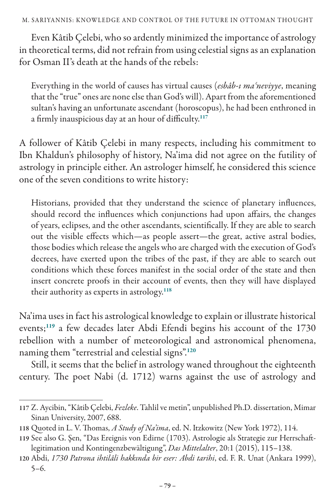Even Kâtib Çelebi, who so ardently minimized the importance of astrology in theoretical terms, did not refrain from using celestial signs as an explanation for Osman II's death at the hands of the rebels:

Everything in the world of causes has virtual causes (*esbâb-ı maʿneviyye*, meaning that the "true" ones are none else than God's will). Apart from the aforementioned sultan's having an unfortunate ascendant (horoscopus), he had been enthroned in a firmly inauspicious day at an hour of difficulty.<sup>117</sup>

A follower of Kâtib Çelebi in many respects, including his commitment to Ibn Khaldun's philosophy of history, Na'ima did not agree on the futility of astrology in principle either. An astrologer himself, he considered this science one of the seven conditions to write history:

Historians, provided that they understand the science of planetary influences, should record the influences which conjunctions had upon affairs, the changes of years, eclipses, and the other ascendants, scientifically. If they are able to search out the visible effects which—as people assert—the great, active astral bodies, those bodies which release the angels who are charged with the execution of God's decrees, have exerted upon the tribes of the past, if they are able to search out conditions which these forces manifest in the social order of the state and then insert concrete proofs in their account of events, then they will have displayed their authority as experts in astrology.<sup>118</sup>

Na'ima uses in fact his astrological knowledge to explain or illustrate historical events;<sup>119</sup> a few decades later Abdi Efendi begins his account of the 1730 rebellion with a number of meteorological and astronomical phenomena, naming them "terrestrial and celestial signs".<sup>120</sup>

Still, it seems that the belief in astrology waned throughout the eighteenth century. The poet Nabi (d. 1712) warns against the use of astrology and

<sup>117</sup> Z. Aycibin, "Kâtib Çelebi, *Fezleke*. Tahlil ve metin", unpublished Ph.D. dissertation, Mimar Sinan University, 2007, 688.

<sup>118</sup> Quoted in L. V. Thomas, *A Study of Na'ima*, ed. N. Itzkowitz (New York 1972), 114.

<sup>119</sup> See also G. Şen, "Das Ereignis von Edirne (1703). Astrologie als Strategie zur Herrschaftlegitimation und Kontingenzbewältigung", *Das Mittelalter*, 20:1 (2015), 115–138.

<sup>120</sup> Abdi, *1730 Patrona ihtilâli hakkında bir eser: Abdi tarihi*, ed. F. R. Unat (Ankara 1999), 5–6.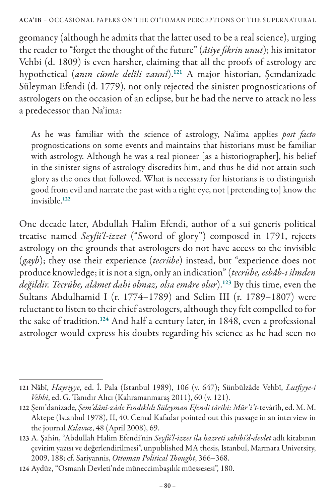geomancy (although he admits that the latter used to be a real science), urging the reader to "forget the thought of the future" (*âtiye fikrin unut*); his imitator Vehbi (d. 1809) is even harsher, claiming that all the proofs of astrology are hypothetical (*anın cümle delîli zannî*).<sup>121</sup> A major historian, Şemdanizade Süleyman Efendi (d. 1779), not only rejected the sinister prognostications of astrologers on the occasion of an eclipse, but he had the nerve to attack no less a predecessor than Na'ima:

As he was familiar with the science of astrology, Na'ima applies *post facto*  prognostications on some events and maintains that historians must be familiar with astrology. Although he was a real pioneer [as a historiographer], his belief in the sinister signs of astrology discredits him, and thus he did not attain such glory as the ones that followed. What is necessary for historians is to distinguish good from evil and narrate the past with a right eye, not [pretending to] know the invisible.<sup>122</sup>

One decade later, Abdullah Halim Efendi, author of a sui generis political treatise named *Seyfü'l-izzet* ("Sword of glory") composed in 1791, rejects astrology on the grounds that astrologers do not have access to the invisible (*gayb*); they use their experience (*tecrübe*) instead, but "experience does not produce knowledge; it is not a sign, only an indication" (*tecrübe, esbâb-ı ilmden değildir. Tecrübe, alâmet dahi olmaz, olsa emâre olur*).<sup>123</sup> By this time, even the Sultans Abdulhamid I (r. 1774–1789) and Selim III (r. 1789–1807) were reluctant to listen to their chief astrologers, although they felt compelled to for the sake of tradition.<sup>124</sup> And half a century later, in 1848, even a professional astrologer would express his doubts regarding his science as he had seen no

<sup>121</sup> Nâbî, *Hayriyye*, ed. İ. Pala (Istanbul 1989), 106 (v. 647); Sünbülzâde Vehbî, *Lutfiyye-i Vehbî*, ed. G. Tanıdır Alıcı (Kahramanmaraş 2011), 60 (v. 121).

<sup>122</sup> Şem'danizade, *Şem'dânî-zâde Fındıklılı Süleyman Efendi târihi: Mür'i't-*tevârîh, ed. M. M. Aktepe (Istanbul 1978), II, 40. Cemal Kafadar pointed out this passage in an interview in the journal *Kılavuz*, 48 (April 2008), 69.

<sup>123</sup> A. Şahin, "Abdullah Halim Efendi'nin *Seyfü'l-izzet ila hazreti sahibi'd-devlet* adlı kitabının çevirim yazısı ve değerlendirilmesi", unpublished MA thesis, Istanbul, Marmara University, 2009, 188; cf. Sariyannis, *Ottoman Political Thought*, 366–368.

<sup>124</sup> Aydüz, "Osmanlı Devleti'nde müneccimbaşılık müessesesi", 180.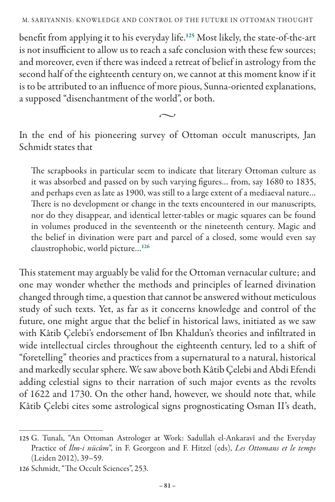benefit from applying it to his everyday life.<sup>125</sup> Most likely, the state-of-the-art is not insufficient to allow us to reach a safe conclusion with these few sources; and moreover, even if there was indeed a retreat of belief in astrology from the second half of the eighteenth century on, we cannot at this moment know if it is to be attributed to an influence of more pious, Sunna-oriented explanations, a supposed "disenchantment of the world", or both.

 $\sim$ 

In the end of his pioneering survey of Ottoman occult manuscripts, Jan Schmidt states that

The scrapbooks in particular seem to indicate that literary Ottoman culture as it was absorbed and passed on by such varying figures… from, say 1680 to 1835, and perhaps even as late as 1900, was still to a large extent of a mediaeval nature… There is no development or change in the texts encountered in our manuscripts, nor do they disappear, and identical letter-tables or magic squares can be found in volumes produced in the seventeenth or the nineteenth century. Magic and the belief in divination were part and parcel of a closed, some would even say claustrophobic, world picture…<sup>126</sup>

This statement may arguably be valid for the Ottoman vernacular culture; and one may wonder whether the methods and principles of learned divination changed through time, a question that cannot be answered without meticulous study of such texts. Yet, as far as it concerns knowledge and control of the future, one might argue that the belief in historical laws, initiated as we saw with Kâtib Çelebi's endorsement of Ibn Khaldun's theories and infiltrated in wide intellectual circles throughout the eighteenth century, led to a shift of "foretelling" theories and practices from a supernatural to a natural, historical and markedly secular sphere. We saw above both Kâtib Çelebi and Abdi Efendi adding celestial signs to their narration of such major events as the revolts of 1622 and 1730. On the other hand, however, we should note that, while Kâtib Çelebi cites some astrological signs prognosticating Osman II's death,

<sup>125</sup> G. Tunalı, "An Ottoman Astrologer at Work: Sadullah el-Ankaravî and the Everyday Practice of *İlm-i nücûm*", in F. Georgeon and F. Hitzel (eds), *Les Ottomans et le temps* (Leiden 2012), 39–59.

<sup>126</sup> Schmidt, "The Occult Sciences", 253.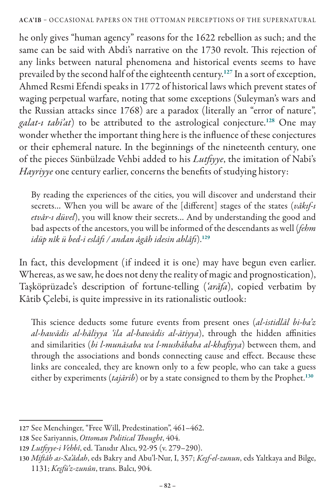he only gives "human agency" reasons for the 1622 rebellion as such; and the same can be said with Abdi's narrative on the 1730 revolt. This rejection of any links between natural phenomena and historical events seems to have prevailed by the second half of the eighteenth century.<sup>127</sup> In a sort of exception, Ahmed Resmi Efendi speaks in 1772 of historical laws which prevent states of waging perpetual warfare, noting that some exceptions (Suleyman's wars and the Russian attacks since 1768) are a paradox (literally an "error of nature", *galat-ı tabi'at*) to be attributed to the astrological conjecture.<sup>128</sup> One may wonder whether the important thing here is the influence of these conjectures or their ephemeral nature. In the beginnings of the nineteenth century, one of the pieces Sünbülzade Vehbi added to his *Lutfiyye*, the imitation of Nabi's *Hayriyye* one century earlier, concerns the benefits of studying history:

By reading the experiences of the cities, you will discover and understand their secrets… When you will be aware of the [different] stages of the states (*vâkıf-ı etvâr-ı düvel*), you will know their secrets… And by understanding the good and bad aspects of the ancestors, you will be informed of the descendants as well (*fehm idüp nîk ü bed-i eslâfı / andan âgâh idesin ahlâfı*).<sup>129</sup>

In fact, this development (if indeed it is one) may have begun even earlier. Whereas, as we saw, he does not deny the reality of magic and prognostication), Taşköprüzade's description of fortune-telling (*'arāfa*), copied verbatim by Kâtib Çelebi, is quite impressive in its rationalistic outlook:

This science deducts some future events from present ones (*al-istidlāl bi-ba'z al-hawādis al-hāliyya 'ila al-hawādis al-ātiyya*), through the hidden affinities and similarities (*bi l-munāsaba wa l-mushābaha al-khafiyya*) between them, and through the associations and bonds connecting cause and effect. Because these links are concealed, they are known only to a few people, who can take a guess either by experiments (*tajārib*) or by a state consigned to them by the Prophet.<sup>130</sup>

<sup>127</sup> See Menchinger, "Free Will, Predestination", 461–462.

<sup>128</sup> See Sariyannis, *Ottoman Political Thought*, 404.

<sup>129</sup> *Lutfiyye-i Vehbî*, ed. Tanıdır Alıcı, 92-95 (v. 279–290).

<sup>130</sup> *Miftâh as-Sa'âdah*, eds Bakry and Abu'l-Nur, I, 357; *Keşf-el-zunun*, eds Yaltkaya and Bilge, 1131; *Keşfü'z-zunûn*, trans. Balcı, 904.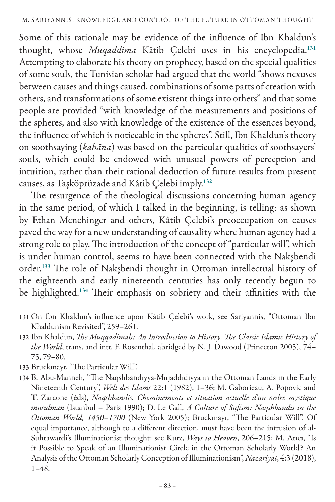Some of this rationale may be evidence of the influence of Ibn Khaldun's thought, whose *Muqaddima* Kâtib Çelebi uses in his encyclopedia.<sup>131</sup> Attempting to elaborate his theory on prophecy, based on the special qualities of some souls, the Tunisian scholar had argued that the world "shows nexuses between causes and things caused, combinations of some parts of creation with others, and transformations of some existent things into others" and that some people are provided "with knowledge of the measurements and positions of the spheres, and also with knowledge of the existence of the essences beyond, the influence of which is noticeable in the spheres". Still, Ibn Khaldun's theory on soothsaying (*kahāna*) was based on the particular qualities of soothsayers' souls, which could be endowed with unusual powers of perception and intuition, rather than their rational deduction of future results from present causes, as Taşköprüzade and Kâtib Çelebi imply.<sup>132</sup>

The resurgence of the theological discussions concerning human agency in the same period, of which I talked in the beginning, is telling: as shown by Ethan Menchinger and others, Kâtib Çelebi's preoccupation on causes paved the way for a new understanding of causality where human agency had a strong role to play. The introduction of the concept of "particular will", which is under human control, seems to have been connected with the Nakşbendi order.<sup>133</sup> The role of Nakşbendi thought in Ottoman intellectual history of the eighteenth and early nineteenth centuries has only recently begun to be highlighted.<sup>134</sup> Their emphasis on sobriety and their affinities with the

<sup>131</sup> On Ibn Khaldun's influence upon Kâtib Çelebi's work, see Sariyannis, "Ottoman Ibn Khaldunism Revisited", 259–261.

<sup>132</sup> Ibn Khaldun, *The Muqqadimah: An Introduction to History. The Classic Islamic History of the World*, trans. and intr. F. Rosenthal, abridged by N. J. Dawood (Princeton 2005), 74– 75, 79–80.

<sup>133</sup> Bruckmayr, "The Particular Will".

<sup>134</sup> B. Abu-Manneh, "The Naqshbandiyya-Mujaddidiyya in the Ottoman Lands in the Early Nineteenth Century", *Welt des Islams* 22:1 (1982), 1–36; M. Gaborieau, A. Popovic and T. Zarcone (éds), *Naqshbandis. Cheminements et situation actuelle d'un ordre mystique musulman* (Istanbul – Paris 1990); D. Le Gall, *A Culture of Sufism: Naqshbandis in the Ottoman World, 1450*–*1700* (New York 2005); Bruckmayr, "The Particular Will". Of equal importance, although to a different direction, must have been the intrusion of al-Suhrawardi's Illuminationist thought: see Kurz, *Ways to Heaven*, 206–215; M. Arıcı, "Is it Possible to Speak of an Illuminationist Circle in the Ottoman Scholarly World? An Analysis of the Ottoman Scholarly Conception of Illuminationism", *Nazariyat*, 4:3 (2018), 1–48.